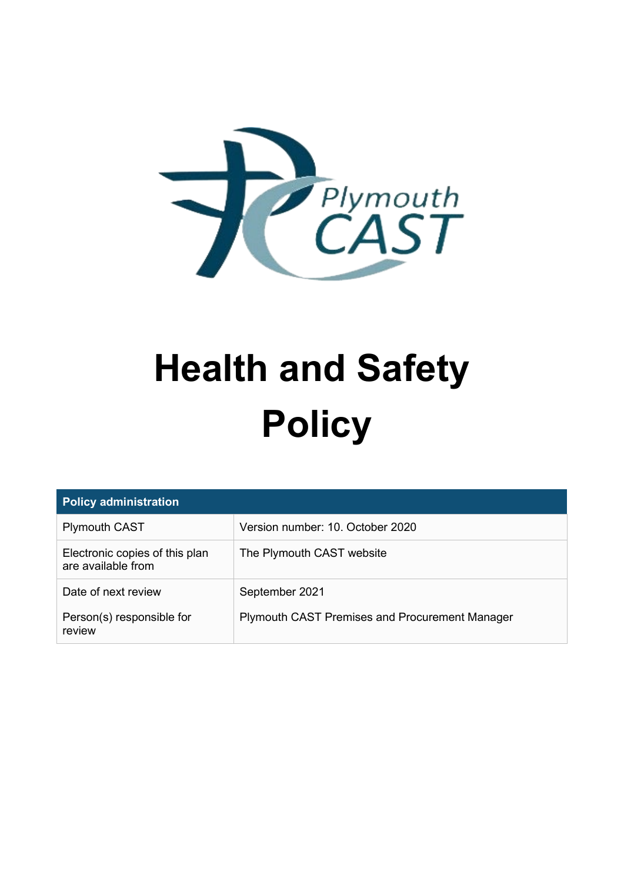

# **Health and Safety Policy**

| <b>Policy administration</b>                         |                                                       |  |  |
|------------------------------------------------------|-------------------------------------------------------|--|--|
| <b>Plymouth CAST</b>                                 | Version number: 10. October 2020                      |  |  |
| Electronic copies of this plan<br>are available from | The Plymouth CAST website                             |  |  |
| Date of next review                                  | September 2021                                        |  |  |
| Person(s) responsible for<br>review                  | <b>Plymouth CAST Premises and Procurement Manager</b> |  |  |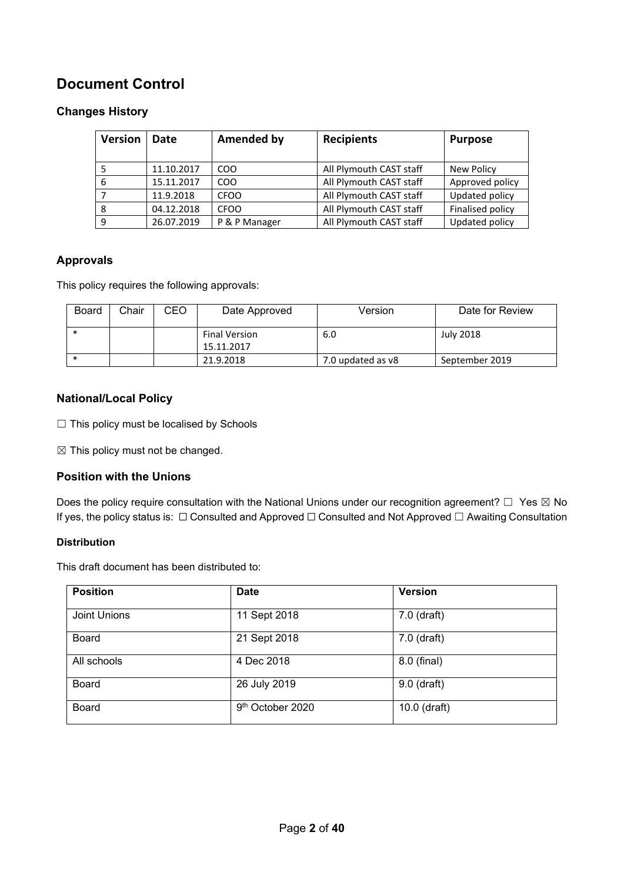#### **Document Control**

#### **Changes History**

| <b>Version</b> | Date       | <b>Amended by</b> | <b>Recipients</b>       | <b>Purpose</b>   |
|----------------|------------|-------------------|-------------------------|------------------|
|                | 11.10.2017 | CO <sub>O</sub>   | All Plymouth CAST staff | New Policy       |
| 6              | 15.11.2017 | CO <sub>O</sub>   | All Plymouth CAST staff | Approved policy  |
|                | 11.9.2018  | <b>CFOO</b>       | All Plymouth CAST staff | Updated policy   |
| 8              | 04.12.2018 | <b>CFOO</b>       | All Plymouth CAST staff | Finalised policy |
| 9              | 26.07.2019 | P & P Manager     | All Plymouth CAST staff | Updated policy   |

#### **Approvals**

This policy requires the following approvals:

| <b>Board</b> | Chair | CEO | Date Approved                      | Version           | Date for Review |
|--------------|-------|-----|------------------------------------|-------------------|-----------------|
|              |       |     | <b>Final Version</b><br>15.11.2017 | 6.0               | July 2018       |
|              |       |     | 21.9.2018                          | 7.0 updated as v8 | September 2019  |

#### **National/Local Policy**

□ This policy must be localised by Schools

 $\boxtimes$  This policy must not be changed.

#### **Position with the Unions**

Does the policy require consultation with the National Unions under our recognition agreement?  $\Box$  Yes  $\boxtimes$  No If yes, the policy status is: ☐ Consulted and Approved ☐ Consulted and Not Approved ☐ Awaiting Consultation

#### **Distribution**

This draft document has been distributed to:

| <b>Position</b> | <b>Date</b>      | <b>Version</b> |
|-----------------|------------------|----------------|
| Joint Unions    | 11 Sept 2018     | 7.0 (draft)    |
| <b>Board</b>    | 21 Sept 2018     | 7.0 (draft)    |
| All schools     | 4 Dec 2018       | 8.0 (final)    |
| <b>Board</b>    | 26 July 2019     | 9.0 (draft)    |
| <b>Board</b>    | 9th October 2020 | 10.0 (draft)   |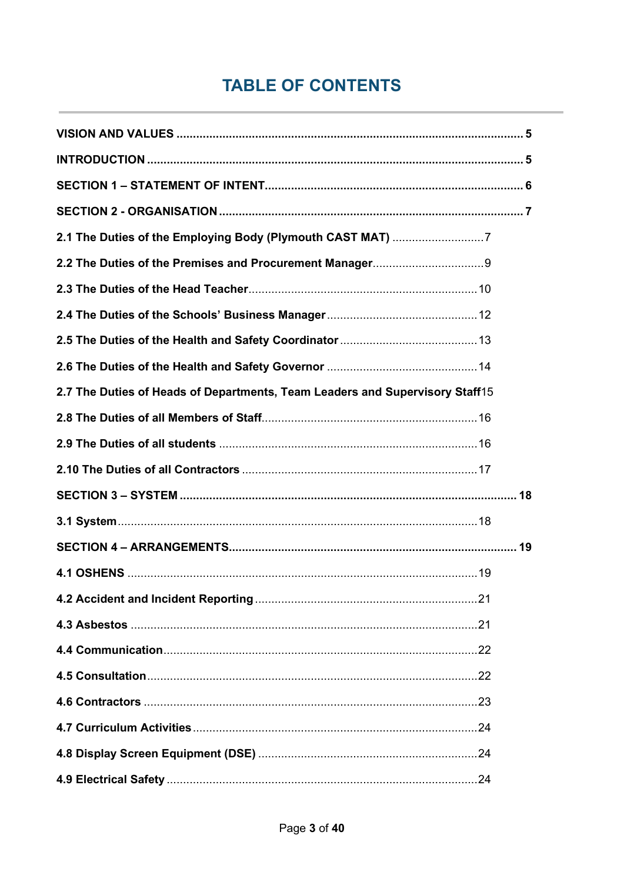# **TABLE OF CONTENTS**

| 2.7 The Duties of Heads of Departments, Team Leaders and Supervisory Staff15 |  |
|------------------------------------------------------------------------------|--|
|                                                                              |  |
|                                                                              |  |
|                                                                              |  |
| SECTION 3 – SYSTEM …………………………………………………………………………………………… 18                    |  |
|                                                                              |  |
|                                                                              |  |
|                                                                              |  |
|                                                                              |  |
|                                                                              |  |
|                                                                              |  |
|                                                                              |  |
|                                                                              |  |
|                                                                              |  |
|                                                                              |  |
|                                                                              |  |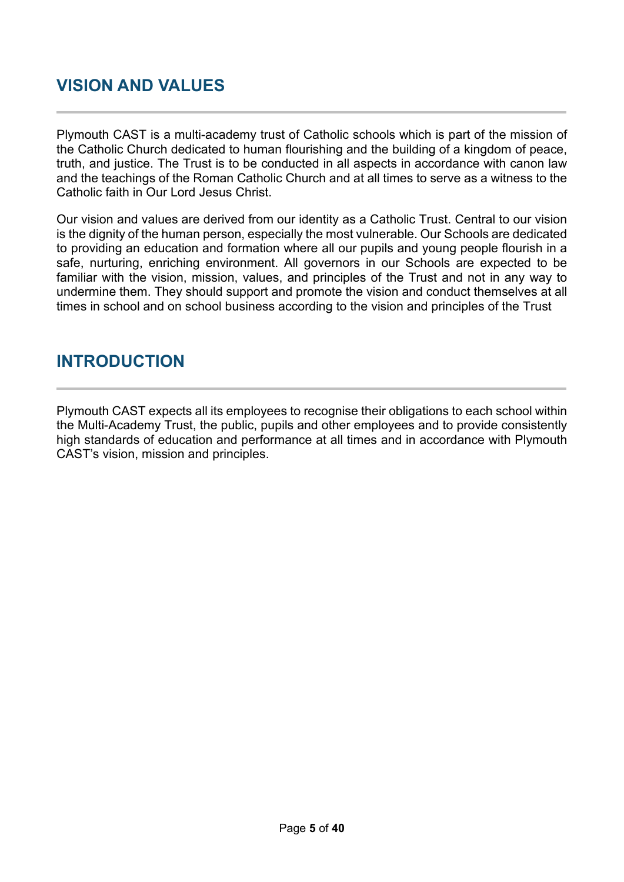# <span id="page-4-0"></span>**VISION AND VALUES**

Plymouth CAST is a multi-academy trust of Catholic schools which is part of the mission of the Catholic Church dedicated to human flourishing and the building of a kingdom of peace, truth, and justice. The Trust is to be conducted in all aspects in accordance with canon law and the teachings of the Roman Catholic Church and at all times to serve as a witness to the Catholic faith in Our Lord Jesus Christ.

Our vision and values are derived from our identity as a Catholic Trust. Central to our vision is the dignity of the human person, especially the most vulnerable. Our Schools are dedicated to providing an education and formation where all our pupils and young people flourish in a safe, nurturing, enriching environment. All governors in our Schools are expected to be familiar with the vision, mission, values, and principles of the Trust and not in any way to undermine them. They should support and promote the vision and conduct themselves at all times in school and on school business according to the vision and principles of the Trust

#### <span id="page-4-1"></span>**INTRODUCTION**

Plymouth CAST expects all its employees to recognise their obligations to each school within the Multi-Academy Trust, the public, pupils and other employees and to provide consistently high standards of education and performance at all times and in accordance with Plymouth CAST's vision, mission and principles.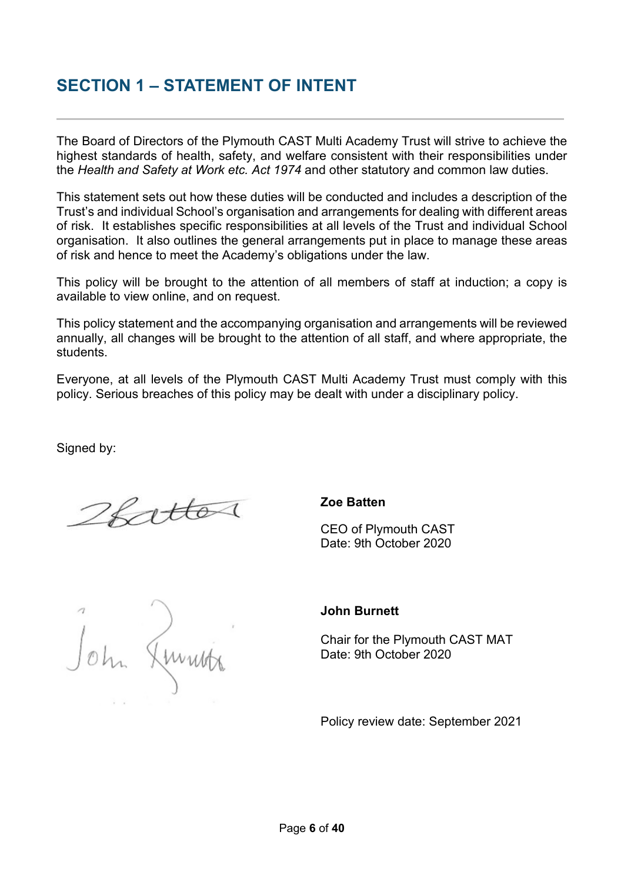#### <span id="page-5-0"></span>**SECTION 1 – STATEMENT OF INTENT**

The Board of Directors of the Plymouth CAST Multi Academy Trust will strive to achieve the highest standards of health, safety, and welfare consistent with their responsibilities under the *Health and Safety at Work etc. Act 1974* and other statutory and common law duties.

This statement sets out how these duties will be conducted and includes a description of the Trust's and individual School's organisation and arrangements for dealing with different areas of risk. It establishes specific responsibilities at all levels of the Trust and individual School organisation. It also outlines the general arrangements put in place to manage these areas of risk and hence to meet the Academy's obligations under the law.

This policy will be brought to the attention of all members of staff at induction; a copy is available to view online, and on request.

This policy statement and the accompanying organisation and arrangements will be reviewed annually, all changes will be brought to the attention of all staff, and where appropriate, the students.

Everyone, at all levels of the Plymouth CAST Multi Academy Trust must comply with this policy. Serious breaches of this policy may be dealt with under a disciplinary policy.

Signed by:

2fattos

#### **Zoe Batten**

CEO of Plymouth CAST Date: 9th October 2020

John Ammitr

#### **John Burnett**

Chair for the Plymouth CAST MAT Date: 9th October 2020

Policy review date: September 2021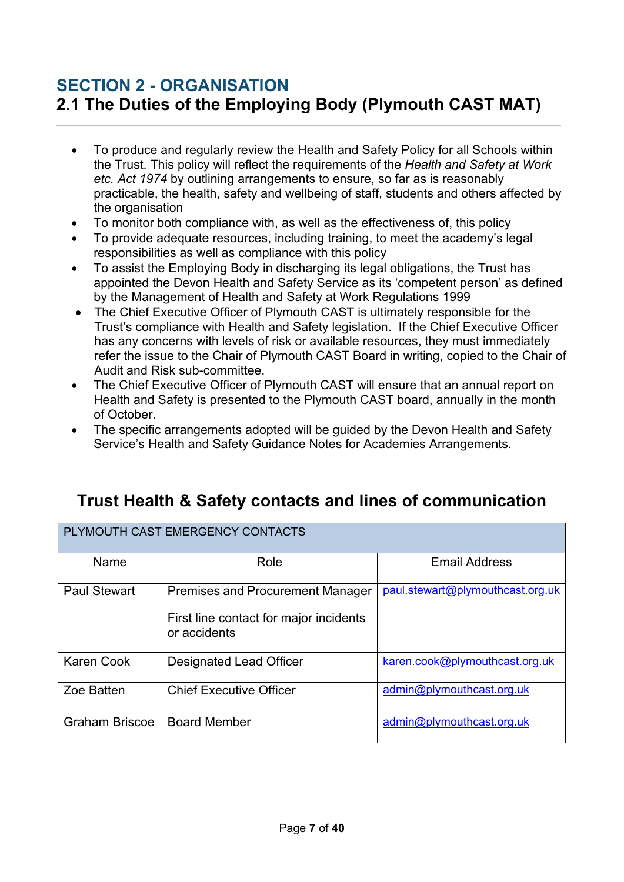# <span id="page-6-1"></span><span id="page-6-0"></span>**SECTION 2 - ORGANISATION 2.1 The Duties of the Employing Body (Plymouth CAST MAT)**

- To produce and regularly review the Health and Safety Policy for all Schools within the Trust. This policy will reflect the requirements of the *Health and Safety at Work etc. Act 1974* by outlining arrangements to ensure, so far as is reasonably practicable, the health, safety and wellbeing of staff, students and others affected by the organisation
- To monitor both compliance with, as well as the effectiveness of, this policy
- To provide adequate resources, including training, to meet the academy's legal responsibilities as well as compliance with this policy
- To assist the Employing Body in discharging its legal obligations, the Trust has appointed the Devon Health and Safety Service as its 'competent person' as defined by the Management of Health and Safety at Work Regulations 1999
- The Chief Executive Officer of Plymouth CAST is ultimately responsible for the Trust's compliance with Health and Safety legislation. If the Chief Executive Officer has any concerns with levels of risk or available resources, they must immediately refer the issue to the Chair of Plymouth CAST Board in writing, copied to the Chair of Audit and Risk sub-committee.
- The Chief Executive Officer of Plymouth CAST will ensure that an annual report on Health and Safety is presented to the Plymouth CAST board, annually in the month of October.
- The specific arrangements adopted will be guided by the Devon Health and Safety Service's Health and Safety Guidance Notes for Academies Arrangements.

# **Trust Health & Safety contacts and lines of communication**

| PLYMOUTH CAST EMERGENCY CONTACTS |                                                        |                                  |  |
|----------------------------------|--------------------------------------------------------|----------------------------------|--|
| Name                             | Role                                                   | <b>Email Address</b>             |  |
| <b>Paul Stewart</b>              | <b>Premises and Procurement Manager</b>                | paul.stewart@plymouthcast.org.uk |  |
|                                  | First line contact for major incidents<br>or accidents |                                  |  |
| <b>Karen Cook</b>                | <b>Designated Lead Officer</b>                         | karen.cook@plymouthcast.org.uk   |  |
| Zoe Batten                       | <b>Chief Executive Officer</b>                         | admin@plymouthcast.org.uk        |  |
| <b>Graham Briscoe</b>            | <b>Board Member</b>                                    | admin@plymouthcast.org.uk        |  |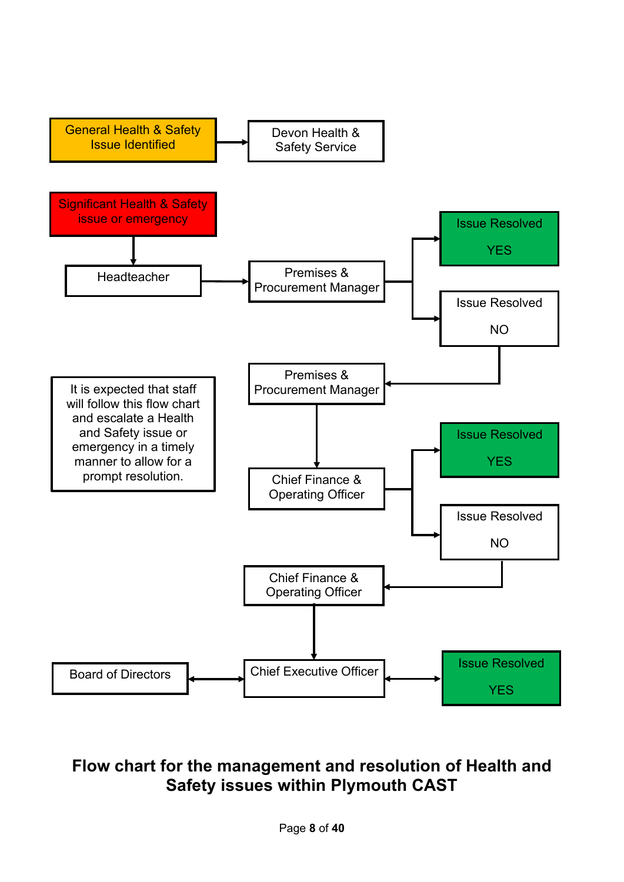

# **Flow chart for the management and resolution of Health and Safety issues within Plymouth CAST**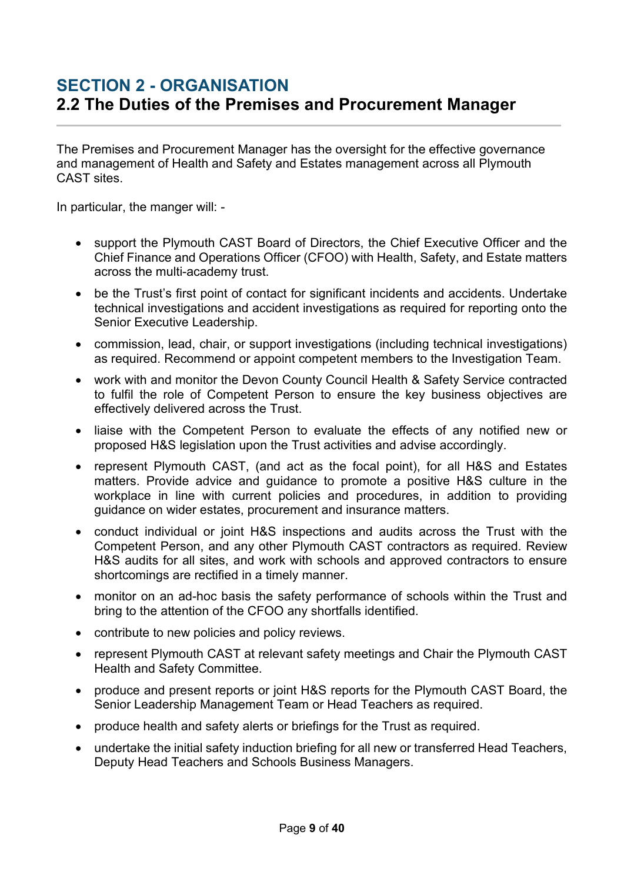## <span id="page-8-0"></span>**SECTION 2 - ORGANISATION 2.2 The Duties of the Premises and Procurement Manager**

The Premises and Procurement Manager has the oversight for the effective governance and management of Health and Safety and Estates management across all Plymouth CAST sites.

In particular, the manger will: -

- support the Plymouth CAST Board of Directors, the Chief Executive Officer and the Chief Finance and Operations Officer (CFOO) with Health, Safety, and Estate matters across the multi-academy trust.
- be the Trust's first point of contact for significant incidents and accidents. Undertake technical investigations and accident investigations as required for reporting onto the Senior Executive Leadership.
- commission, lead, chair, or support investigations (including technical investigations) as required. Recommend or appoint competent members to the Investigation Team.
- work with and monitor the Devon County Council Health & Safety Service contracted to fulfil the role of Competent Person to ensure the key business objectives are effectively delivered across the Trust.
- liaise with the Competent Person to evaluate the effects of any notified new or proposed H&S legislation upon the Trust activities and advise accordingly.
- represent Plymouth CAST, (and act as the focal point), for all H&S and Estates matters. Provide advice and guidance to promote a positive H&S culture in the workplace in line with current policies and procedures, in addition to providing guidance on wider estates, procurement and insurance matters.
- conduct individual or joint H&S inspections and audits across the Trust with the Competent Person, and any other Plymouth CAST contractors as required. Review H&S audits for all sites, and work with schools and approved contractors to ensure shortcomings are rectified in a timely manner.
- monitor on an ad-hoc basis the safety performance of schools within the Trust and bring to the attention of the CFOO any shortfalls identified.
- contribute to new policies and policy reviews.
- represent Plymouth CAST at relevant safety meetings and Chair the Plymouth CAST Health and Safety Committee.
- produce and present reports or joint H&S reports for the Plymouth CAST Board, the Senior Leadership Management Team or Head Teachers as required.
- produce health and safety alerts or briefings for the Trust as required.
- undertake the initial safety induction briefing for all new or transferred Head Teachers, Deputy Head Teachers and Schools Business Managers.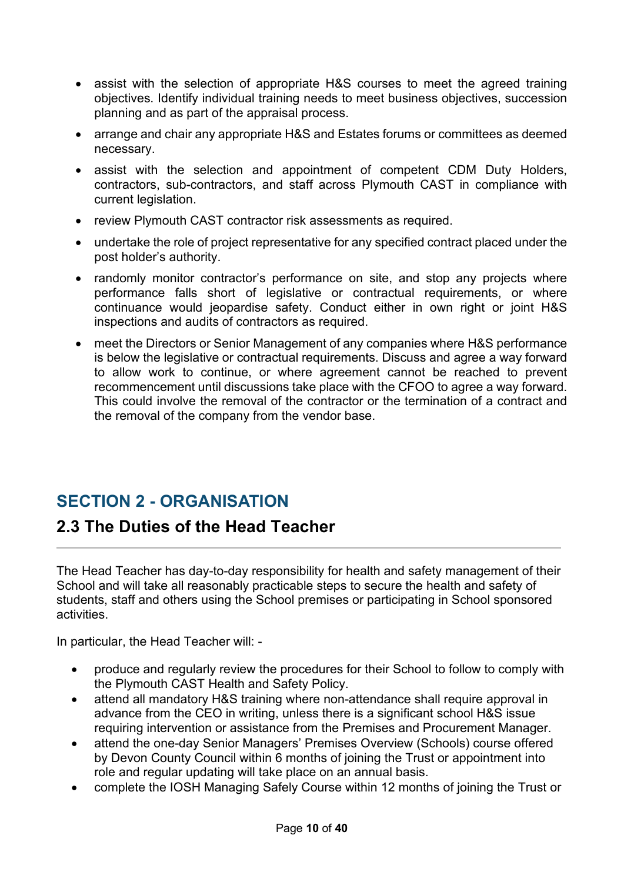- assist with the selection of appropriate H&S courses to meet the agreed training objectives. Identify individual training needs to meet business objectives, succession planning and as part of the appraisal process.
- arrange and chair any appropriate H&S and Estates forums or committees as deemed necessary.
- assist with the selection and appointment of competent CDM Duty Holders, contractors, sub-contractors, and staff across Plymouth CAST in compliance with current legislation.
- review Plymouth CAST contractor risk assessments as required.
- undertake the role of project representative for any specified contract placed under the post holder's authority.
- randomly monitor contractor's performance on site, and stop any projects where performance falls short of legislative or contractual requirements, or where continuance would jeopardise safety. Conduct either in own right or joint H&S inspections and audits of contractors as required.
- meet the Directors or Senior Management of any companies where H&S performance is below the legislative or contractual requirements. Discuss and agree a way forward to allow work to continue, or where agreement cannot be reached to prevent recommencement until discussions take place with the CFOO to agree a way forward. This could involve the removal of the contractor or the termination of a contract and the removal of the company from the vendor base.

#### **SECTION 2 - ORGANISATION**

#### <span id="page-9-0"></span>**2.3 The Duties of the Head Teacher**

The Head Teacher has day-to-day responsibility for health and safety management of their School and will take all reasonably practicable steps to secure the health and safety of students, staff and others using the School premises or participating in School sponsored activities.

In particular, the Head Teacher will: -

- produce and regularly review the procedures for their School to follow to comply with the Plymouth CAST Health and Safety Policy.
- attend all mandatory H&S training where non-attendance shall require approval in advance from the CEO in writing, unless there is a significant school H&S issue requiring intervention or assistance from the Premises and Procurement Manager.
- attend the one-day Senior Managers' Premises Overview (Schools) course offered by Devon County Council within 6 months of joining the Trust or appointment into role and regular updating will take place on an annual basis.
- complete the IOSH Managing Safely Course within 12 months of joining the Trust or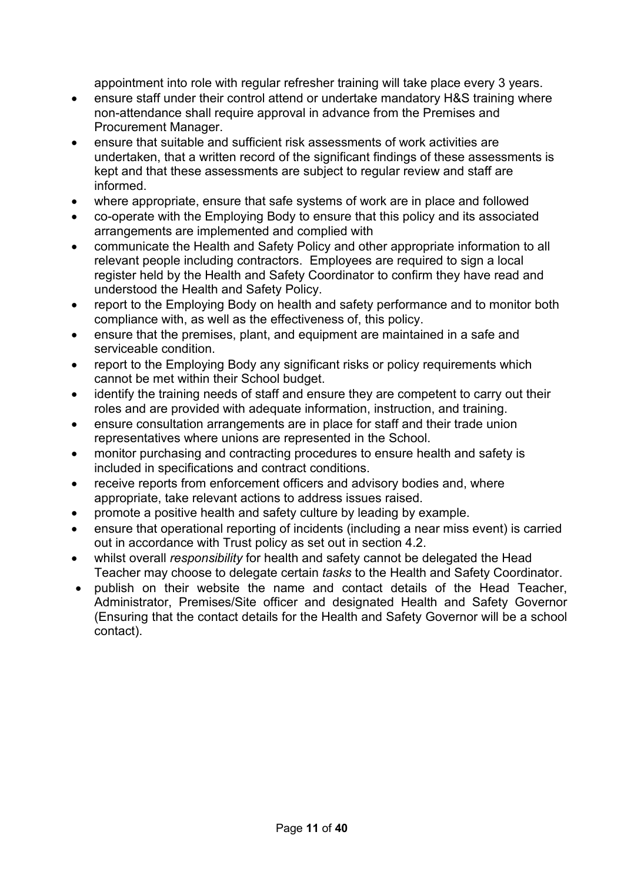appointment into role with regular refresher training will take place every 3 years.

- ensure staff under their control attend or undertake mandatory H&S training where non-attendance shall require approval in advance from the Premises and Procurement Manager.
- ensure that suitable and sufficient risk assessments of work activities are undertaken, that a written record of the significant findings of these assessments is kept and that these assessments are subject to regular review and staff are informed.
- where appropriate, ensure that safe systems of work are in place and followed
- co-operate with the Employing Body to ensure that this policy and its associated arrangements are implemented and complied with
- communicate the Health and Safety Policy and other appropriate information to all relevant people including contractors. Employees are required to sign a local register held by the Health and Safety Coordinator to confirm they have read and understood the Health and Safety Policy.
- report to the Employing Body on health and safety performance and to monitor both compliance with, as well as the effectiveness of, this policy.
- ensure that the premises, plant, and equipment are maintained in a safe and serviceable condition.
- report to the Employing Body any significant risks or policy requirements which cannot be met within their School budget.
- identify the training needs of staff and ensure they are competent to carry out their roles and are provided with adequate information, instruction, and training.
- ensure consultation arrangements are in place for staff and their trade union representatives where unions are represented in the School.
- monitor purchasing and contracting procedures to ensure health and safety is included in specifications and contract conditions.
- receive reports from enforcement officers and advisory bodies and, where appropriate, take relevant actions to address issues raised.
- promote a positive health and safety culture by leading by example.
- ensure that operational reporting of incidents (including a near miss event) is carried out in accordance with Trust policy as set out in section 4.2.
- whilst overall *responsibility* for health and safety cannot be delegated the Head Teacher may choose to delegate certain *tasks* to the Health and Safety Coordinator.
- publish on their website the name and contact details of the Head Teacher, Administrator, Premises/Site officer and designated Health and Safety Governor (Ensuring that the contact details for the Health and Safety Governor will be a school contact).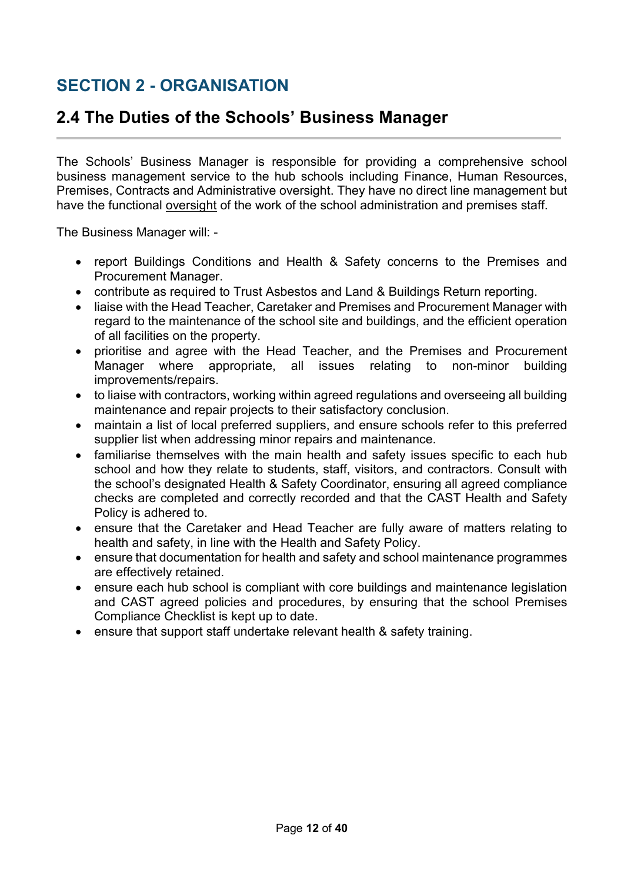# **SECTION 2 - ORGANISATION**

#### <span id="page-11-0"></span>**2.4 The Duties of the Schools' Business Manager**

The Schools' Business Manager is responsible for providing a comprehensive school business management service to the hub schools including Finance, Human Resources, Premises, Contracts and Administrative oversight. They have no direct line management but have the functional oversight of the work of the school administration and premises staff.

The Business Manager will: -

- report Buildings Conditions and Health & Safety concerns to the Premises and Procurement Manager.
- contribute as required to Trust Asbestos and Land & Buildings Return reporting.
- liaise with the Head Teacher, Caretaker and Premises and Procurement Manager with regard to the maintenance of the school site and buildings, and the efficient operation of all facilities on the property.
- prioritise and agree with the Head Teacher, and the Premises and Procurement Manager where appropriate, all issues relating to non-minor building improvements/repairs.
- to liaise with contractors, working within agreed regulations and overseeing all building maintenance and repair projects to their satisfactory conclusion.
- maintain a list of local preferred suppliers, and ensure schools refer to this preferred supplier list when addressing minor repairs and maintenance.
- familiarise themselves with the main health and safety issues specific to each hub school and how they relate to students, staff, visitors, and contractors. Consult with the school's designated Health & Safety Coordinator, ensuring all agreed compliance checks are completed and correctly recorded and that the CAST Health and Safety Policy is adhered to.
- ensure that the Caretaker and Head Teacher are fully aware of matters relating to health and safety, in line with the Health and Safety Policy.
- ensure that documentation for health and safety and school maintenance programmes are effectively retained.
- ensure each hub school is compliant with core buildings and maintenance legislation and CAST agreed policies and procedures, by ensuring that the school Premises Compliance Checklist is kept up to date.
- ensure that support staff undertake relevant health & safety training.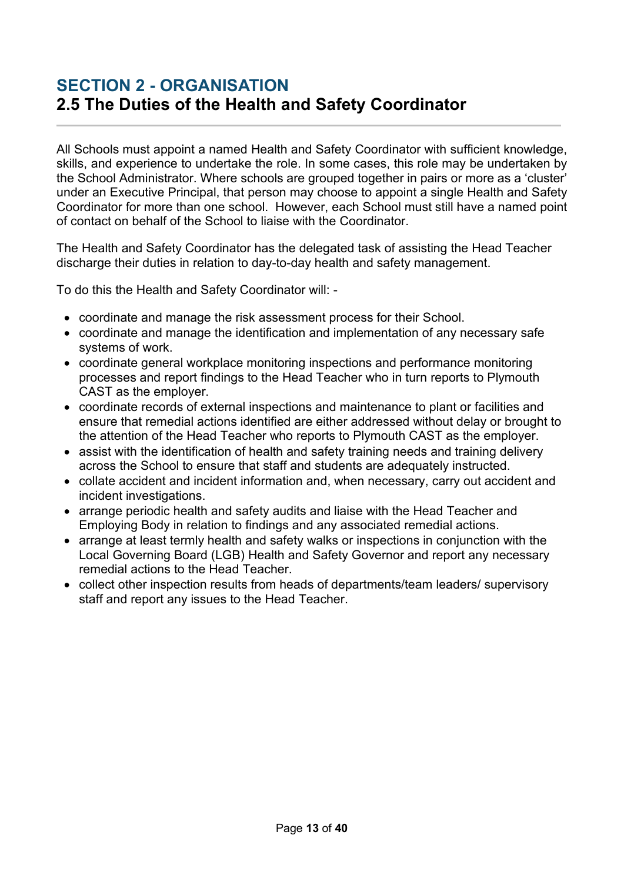#### <span id="page-12-0"></span>**SECTION 2 - ORGANISATION 2.5 The Duties of the Health and Safety Coordinator**

All Schools must appoint a named Health and Safety Coordinator with sufficient knowledge, skills, and experience to undertake the role. In some cases, this role may be undertaken by the School Administrator. Where schools are grouped together in pairs or more as a 'cluster' under an Executive Principal, that person may choose to appoint a single Health and Safety Coordinator for more than one school. However, each School must still have a named point of contact on behalf of the School to liaise with the Coordinator.

The Health and Safety Coordinator has the delegated task of assisting the Head Teacher discharge their duties in relation to day-to-day health and safety management.

To do this the Health and Safety Coordinator will: -

- coordinate and manage the risk assessment process for their School.
- coordinate and manage the identification and implementation of any necessary safe systems of work.
- coordinate general workplace monitoring inspections and performance monitoring processes and report findings to the Head Teacher who in turn reports to Plymouth CAST as the employer.
- coordinate records of external inspections and maintenance to plant or facilities and ensure that remedial actions identified are either addressed without delay or brought to the attention of the Head Teacher who reports to Plymouth CAST as the employer.
- assist with the identification of health and safety training needs and training delivery across the School to ensure that staff and students are adequately instructed.
- collate accident and incident information and, when necessary, carry out accident and incident investigations.
- arrange periodic health and safety audits and liaise with the Head Teacher and Employing Body in relation to findings and any associated remedial actions.
- arrange at least termly health and safety walks or inspections in conjunction with the Local Governing Board (LGB) Health and Safety Governor and report any necessary remedial actions to the Head Teacher.
- collect other inspection results from heads of departments/team leaders/ supervisory staff and report any issues to the Head Teacher.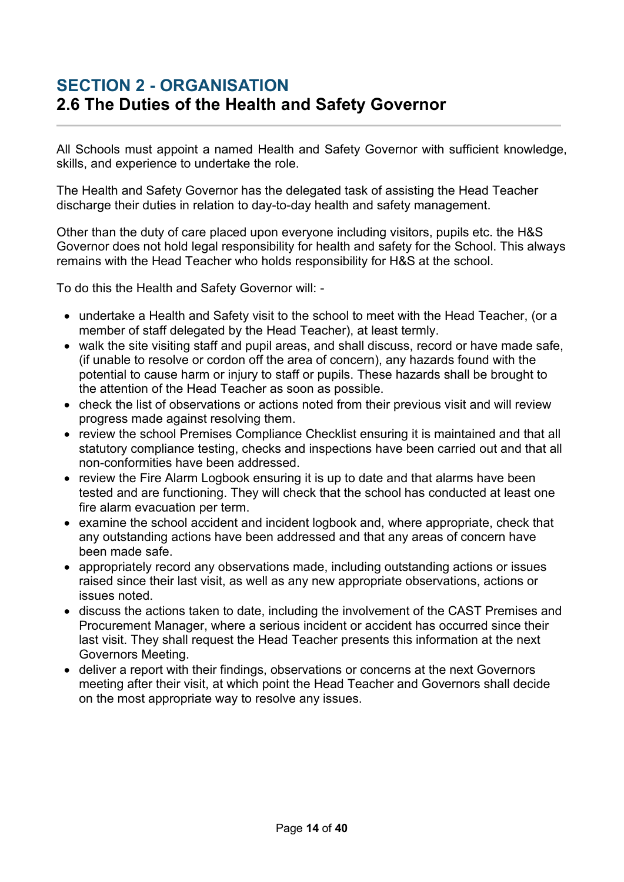## <span id="page-13-0"></span>**SECTION 2 - ORGANISATION 2.6 The Duties of the Health and Safety Governor**

All Schools must appoint a named Health and Safety Governor with sufficient knowledge, skills, and experience to undertake the role.

The Health and Safety Governor has the delegated task of assisting the Head Teacher discharge their duties in relation to day-to-day health and safety management.

Other than the duty of care placed upon everyone including visitors, pupils etc. the H&S Governor does not hold legal responsibility for health and safety for the School. This always remains with the Head Teacher who holds responsibility for H&S at the school.

To do this the Health and Safety Governor will: -

- undertake a Health and Safety visit to the school to meet with the Head Teacher, (or a member of staff delegated by the Head Teacher), at least termly.
- walk the site visiting staff and pupil areas, and shall discuss, record or have made safe, (if unable to resolve or cordon off the area of concern), any hazards found with the potential to cause harm or injury to staff or pupils. These hazards shall be brought to the attention of the Head Teacher as soon as possible.
- check the list of observations or actions noted from their previous visit and will review progress made against resolving them.
- review the school Premises Compliance Checklist ensuring it is maintained and that all statutory compliance testing, checks and inspections have been carried out and that all non-conformities have been addressed.
- review the Fire Alarm Logbook ensuring it is up to date and that alarms have been tested and are functioning. They will check that the school has conducted at least one fire alarm evacuation per term.
- examine the school accident and incident logbook and, where appropriate, check that any outstanding actions have been addressed and that any areas of concern have been made safe.
- appropriately record any observations made, including outstanding actions or issues raised since their last visit, as well as any new appropriate observations, actions or issues noted.
- discuss the actions taken to date, including the involvement of the CAST Premises and Procurement Manager, where a serious incident or accident has occurred since their last visit. They shall request the Head Teacher presents this information at the next Governors Meeting.
- deliver a report with their findings, observations or concerns at the next Governors meeting after their visit, at which point the Head Teacher and Governors shall decide on the most appropriate way to resolve any issues.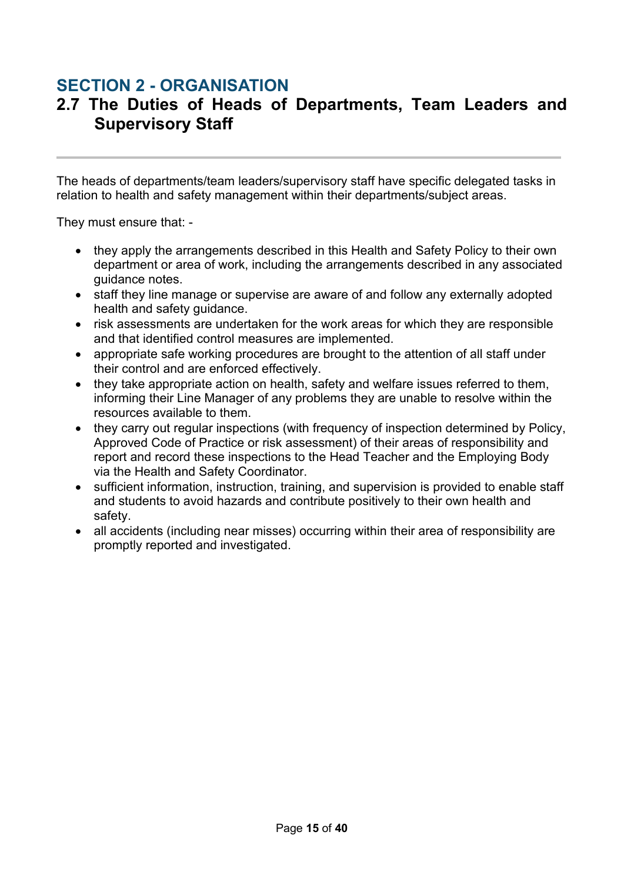#### **SECTION 2 - ORGANISATION**

#### <span id="page-14-0"></span>**2.7 The Duties of Heads of Departments, Team Leaders and Supervisory Staff**

The heads of departments/team leaders/supervisory staff have specific delegated tasks in relation to health and safety management within their departments/subject areas.

They must ensure that: -

- they apply the arrangements described in this Health and Safety Policy to their own department or area of work, including the arrangements described in any associated guidance notes.
- staff they line manage or supervise are aware of and follow any externally adopted health and safety guidance.
- risk assessments are undertaken for the work areas for which they are responsible and that identified control measures are implemented.
- appropriate safe working procedures are brought to the attention of all staff under their control and are enforced effectively.
- they take appropriate action on health, safety and welfare issues referred to them, informing their Line Manager of any problems they are unable to resolve within the resources available to them.
- they carry out regular inspections (with frequency of inspection determined by Policy, Approved Code of Practice or risk assessment) of their areas of responsibility and report and record these inspections to the Head Teacher and the Employing Body via the Health and Safety Coordinator.
- sufficient information, instruction, training, and supervision is provided to enable staff and students to avoid hazards and contribute positively to their own health and safety.
- all accidents (including near misses) occurring within their area of responsibility are promptly reported and investigated.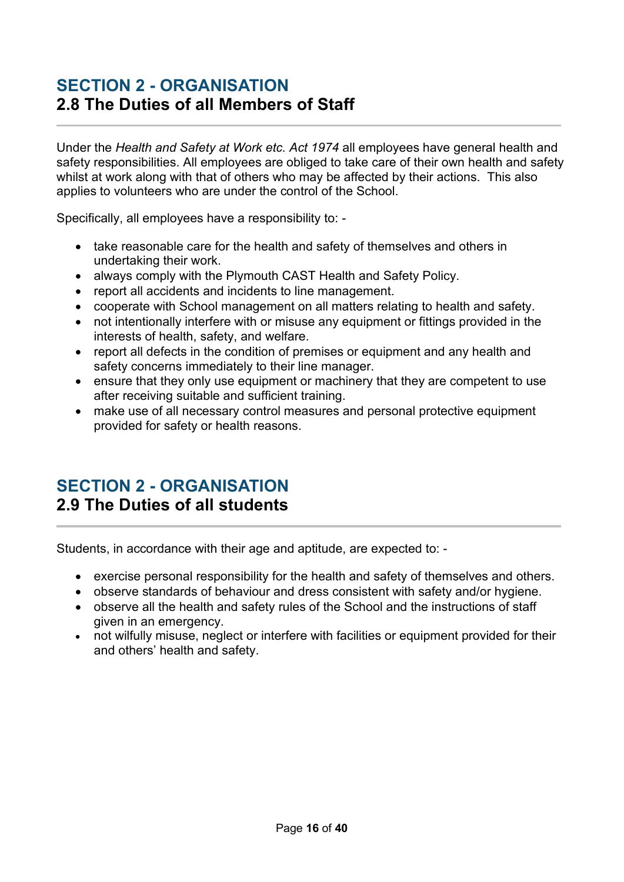#### <span id="page-15-0"></span>**SECTION 2 - ORGANISATION 2.8 The Duties of all Members of Staff**

Under the *Health and Safety at Work etc. Act 1974* all employees have general health and safety responsibilities. All employees are obliged to take care of their own health and safety whilst at work along with that of others who may be affected by their actions. This also applies to volunteers who are under the control of the School.

Specifically, all employees have a responsibility to: -

- take reasonable care for the health and safety of themselves and others in undertaking their work.
- always comply with the Plymouth CAST Health and Safety Policy.
- report all accidents and incidents to line management.
- cooperate with School management on all matters relating to health and safety.
- not intentionally interfere with or misuse any equipment or fittings provided in the interests of health, safety, and welfare.
- report all defects in the condition of premises or equipment and any health and safety concerns immediately to their line manager.
- ensure that they only use equipment or machinery that they are competent to use after receiving suitable and sufficient training.
- make use of all necessary control measures and personal protective equipment provided for safety or health reasons.

#### <span id="page-15-1"></span>**SECTION 2 - ORGANISATION 2.9 The Duties of all students**

Students, in accordance with their age and aptitude, are expected to: -

- exercise personal responsibility for the health and safety of themselves and others.
- observe standards of behaviour and dress consistent with safety and/or hygiene.
- observe all the health and safety rules of the School and the instructions of staff given in an emergency.
- not wilfully misuse, neglect or interfere with facilities or equipment provided for their and others' health and safety.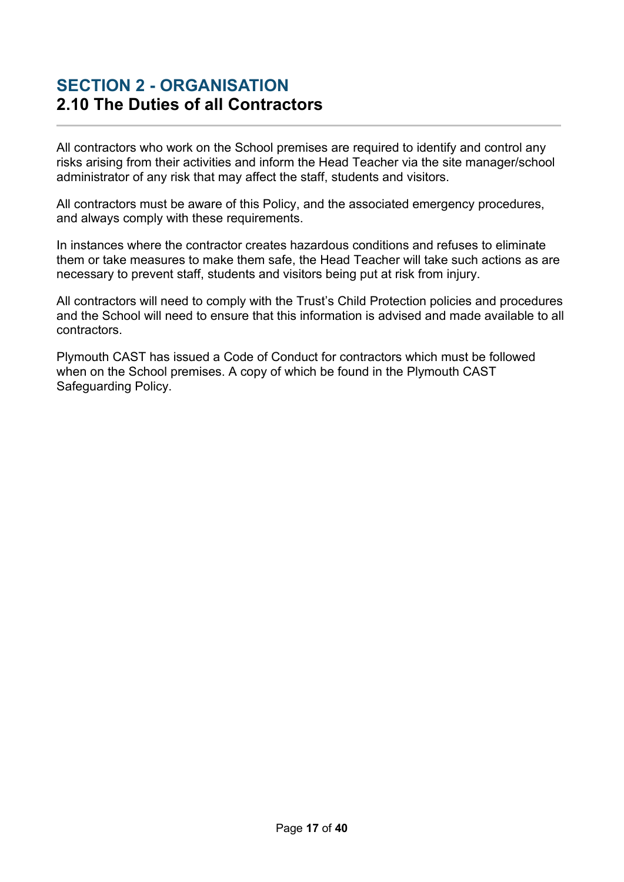#### <span id="page-16-0"></span>**SECTION 2 - ORGANISATION 2.10 The Duties of all Contractors**

All contractors who work on the School premises are required to identify and control any risks arising from their activities and inform the Head Teacher via the site manager/school administrator of any risk that may affect the staff, students and visitors.

All contractors must be aware of this Policy, and the associated emergency procedures, and always comply with these requirements.

In instances where the contractor creates hazardous conditions and refuses to eliminate them or take measures to make them safe, the Head Teacher will take such actions as are necessary to prevent staff, students and visitors being put at risk from injury.

All contractors will need to comply with the Trust's Child Protection policies and procedures and the School will need to ensure that this information is advised and made available to all contractors.

Plymouth CAST has issued a Code of Conduct for contractors which must be followed when on the School premises. A copy of which be found in the Plymouth CAST Safeguarding Policy.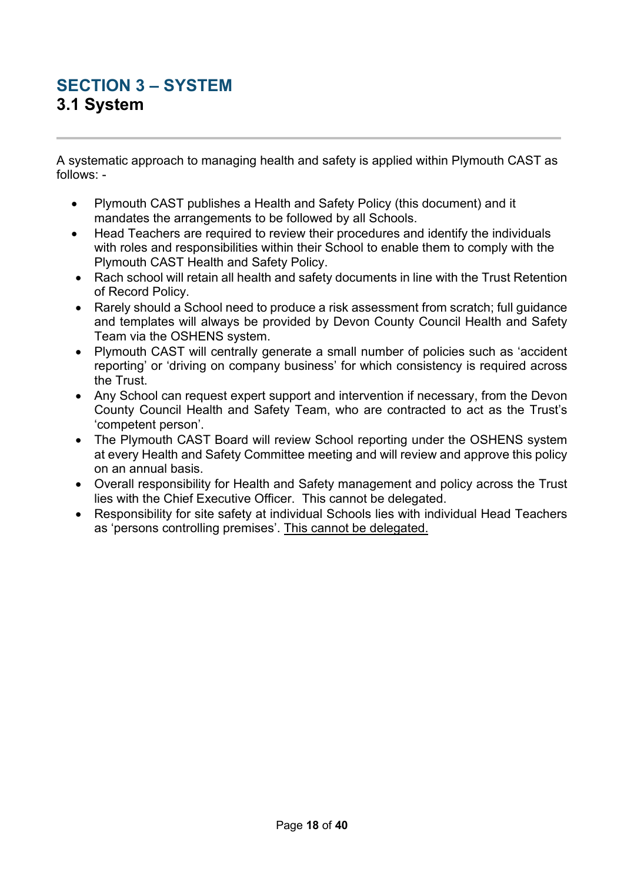## <span id="page-17-1"></span><span id="page-17-0"></span>**SECTION 3 – SYSTEM 3.1 System**

A systematic approach to managing health and safety is applied within Plymouth CAST as follows: -

- Plymouth CAST publishes a Health and Safety Policy (this document) and it mandates the arrangements to be followed by all Schools.
- Head Teachers are required to review their procedures and identify the individuals with roles and responsibilities within their School to enable them to comply with the Plymouth CAST Health and Safety Policy.
- Rach school will retain all health and safety documents in line with the Trust Retention of Record Policy.
- Rarely should a School need to produce a risk assessment from scratch; full quidance and templates will always be provided by Devon County Council Health and Safety Team via the OSHENS system.
- Plymouth CAST will centrally generate a small number of policies such as 'accident reporting' or 'driving on company business' for which consistency is required across the Trust.
- Any School can request expert support and intervention if necessary, from the Devon County Council Health and Safety Team, who are contracted to act as the Trust's 'competent person'.
- The Plymouth CAST Board will review School reporting under the OSHENS system at every Health and Safety Committee meeting and will review and approve this policy on an annual basis.
- Overall responsibility for Health and Safety management and policy across the Trust lies with the Chief Executive Officer. This cannot be delegated.
- Responsibility for site safety at individual Schools lies with individual Head Teachers as 'persons controlling premises'. This cannot be delegated.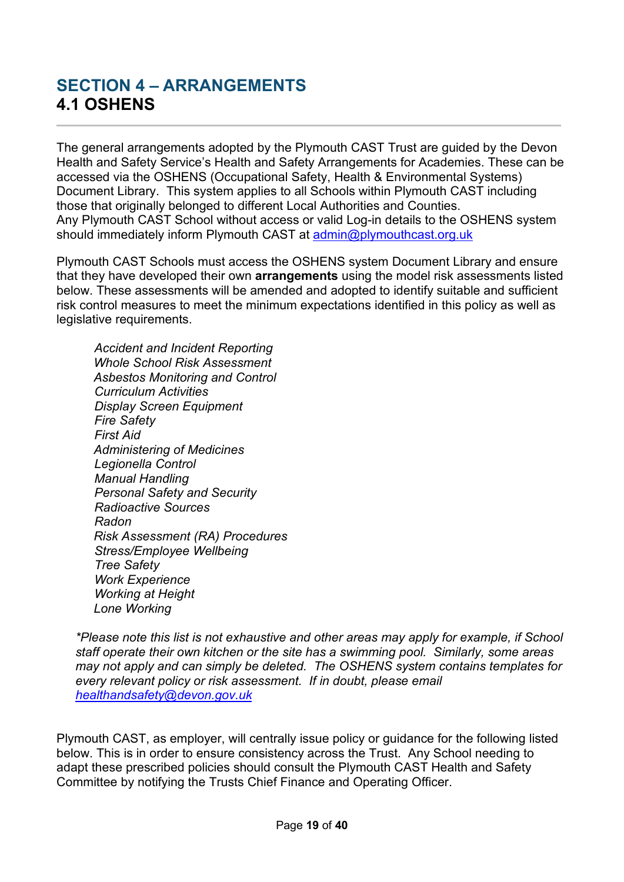## <span id="page-18-1"></span><span id="page-18-0"></span>**SECTION 4 – ARRANGEMENTS 4.1 OSHENS**

The general arrangements adopted by the Plymouth CAST Trust are guided by the Devon Health and Safety Service's Health and Safety Arrangements for Academies. These can be accessed via the OSHENS (Occupational Safety, Health & Environmental Systems) Document Library. This system applies to all Schools within Plymouth CAST including those that originally belonged to different Local Authorities and Counties. Any Plymouth CAST School without access or valid Log-in details to the OSHENS system should immediately inform Plymouth CAST at admin@plymouthcast.org.uk

Plymouth CAST Schools must access the OSHENS system Document Library and ensure that they have developed their own **arrangements** using the model risk assessments listed below. These assessments will be amended and adopted to identify suitable and sufficient risk control measures to meet the minimum expectations identified in this policy as well as legislative requirements.

*Accident and Incident Reporting Whole School Risk Assessment Asbestos Monitoring and Control Curriculum Activities Display Screen Equipment Fire Safety First Aid Administering of Medicines Legionella Control Manual Handling Personal Safety and Security Radioactive Sources Radon Risk Assessment (RA) Procedures Stress/Employee Wellbeing Tree Safety Work Experience Working at Height Lone Working*

*\*Please note this list is not exhaustive and other areas may apply for example, if School staff operate their own kitchen or the site has a swimming pool. Similarly, some areas may not apply and can simply be deleted. The OSHENS system contains templates for every relevant policy or risk assessment. If in doubt, please email [healthandsafety@devon.gov.uk](mailto:admin@plymouthcast.org.uk)*

Plymouth CAST, as employer, will centrally issue policy or guidance for the following listed below. This is in order to ensure consistency across the Trust. Any School needing to adapt these prescribed policies should consult the Plymouth CAST Health and Safety Committee by notifying the Trusts Chief Finance and Operating Officer.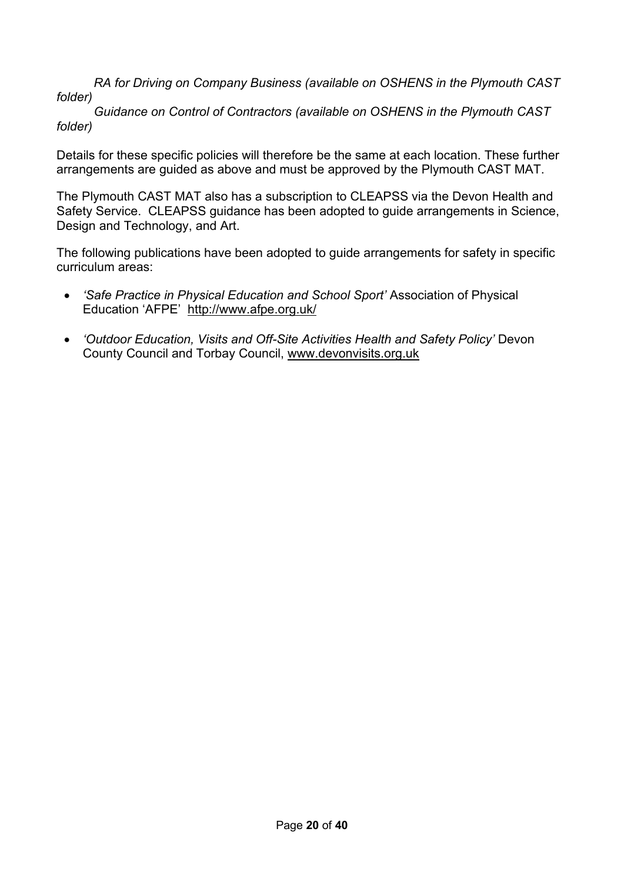*RA for Driving on Company Business (available on OSHENS in the Plymouth CAST folder)*

*Guidance on Control of Contractors (available on OSHENS in the Plymouth CAST folder)*

Details for these specific policies will therefore be the same at each location. These further arrangements are guided as above and must be approved by the Plymouth CAST MAT.

The Plymouth CAST MAT also has a subscription to CLEAPSS via the Devon Health and Safety Service. CLEAPSS guidance has been adopted to guide arrangements in Science, Design and Technology, and Art.

The following publications have been adopted to guide arrangements for safety in specific curriculum areas:

- *'Safe Practice in Physical Education and School Sport'* Association of Physical Education 'AFPE' <http://www.afpe.org.uk/>
- *'Outdoor Education, Visits and Off-Site Activities Health and Safety Policy'* Devon County Council and Torbay Council, [www.devonvisits.org.uk](http://www.devonvisits.org.uk/)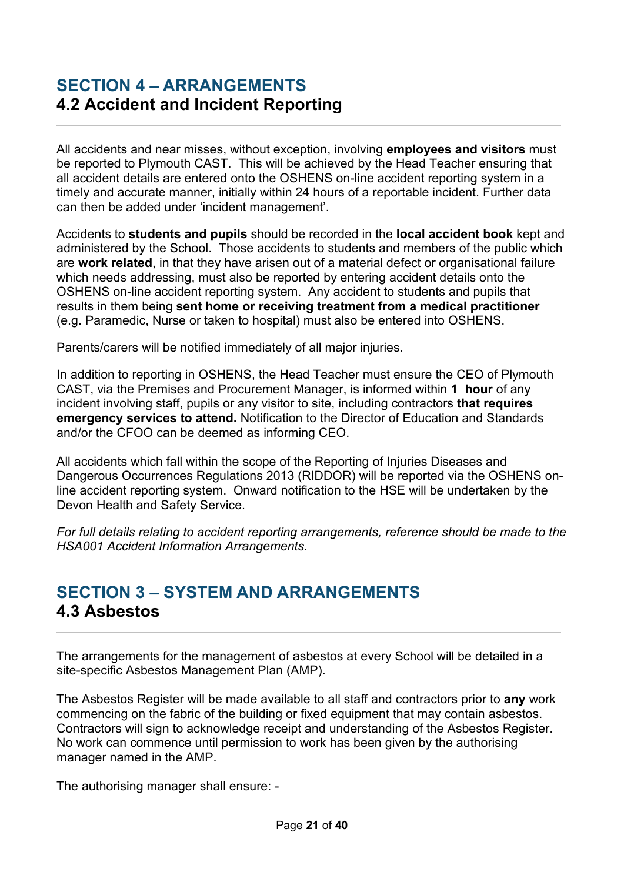#### <span id="page-20-0"></span>**SECTION 4 – ARRANGEMENTS 4.2 Accident and Incident Reporting**

All accidents and near misses, without exception, involving **employees and visitors** must be reported to Plymouth CAST. This will be achieved by the Head Teacher ensuring that all accident details are entered onto the OSHENS on-line accident reporting system in a timely and accurate manner, initially within 24 hours of a reportable incident. Further data can then be added under 'incident management'.

Accidents to **students and pupils** should be recorded in the **local accident book** kept and administered by the School. Those accidents to students and members of the public which are **work related**, in that they have arisen out of a material defect or organisational failure which needs addressing, must also be reported by entering accident details onto the OSHENS on-line accident reporting system. Any accident to students and pupils that results in them being **sent home or receiving treatment from a medical practitioner** (e.g. Paramedic, Nurse or taken to hospital) must also be entered into OSHENS.

Parents/carers will be notified immediately of all major injuries.

In addition to reporting in OSHENS, the Head Teacher must ensure the CEO of Plymouth CAST, via the Premises and Procurement Manager, is informed within **1 hour** of any incident involving staff, pupils or any visitor to site, including contractors **that requires emergency services to attend.** Notification to the Director of Education and Standards and/or the CFOO can be deemed as informing CEO.

All accidents which fall within the scope of the Reporting of Injuries Diseases and Dangerous Occurrences Regulations 2013 (RIDDOR) will be reported via the OSHENS online accident reporting system. Onward notification to the HSE will be undertaken by the Devon Health and Safety Service.

*For full details relating to accident reporting arrangements, reference should be made to the HSA001 Accident Information Arrangements.*

## <span id="page-20-1"></span>**SECTION 3 – SYSTEM AND ARRANGEMENTS 4.3 Asbestos**

The arrangements for the management of asbestos at every School will be detailed in a site-specific Asbestos Management Plan (AMP).

The Asbestos Register will be made available to all staff and contractors prior to **any** work commencing on the fabric of the building or fixed equipment that may contain asbestos. Contractors will sign to acknowledge receipt and understanding of the Asbestos Register. No work can commence until permission to work has been given by the authorising manager named in the AMP.

The authorising manager shall ensure: -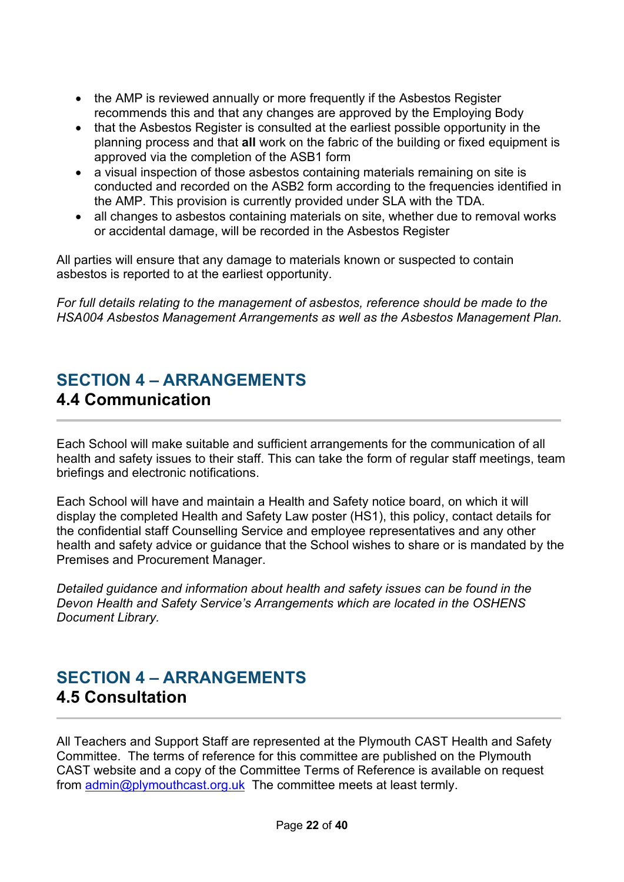- the AMP is reviewed annually or more frequently if the Asbestos Register recommends this and that any changes are approved by the Employing Body
- that the Asbestos Register is consulted at the earliest possible opportunity in the planning process and that **all** work on the fabric of the building or fixed equipment is approved via the completion of the ASB1 form
- a visual inspection of those asbestos containing materials remaining on site is conducted and recorded on the ASB2 form according to the frequencies identified in the AMP. This provision is currently provided under SLA with the TDA.
- all changes to asbestos containing materials on site, whether due to removal works or accidental damage, will be recorded in the Asbestos Register

All parties will ensure that any damage to materials known or suspected to contain asbestos is reported to at the earliest opportunity.

*For full details relating to the management of asbestos, reference should be made to the HSA004 Asbestos Management Arrangements as well as the Asbestos Management Plan.*

#### <span id="page-21-0"></span>**SECTION 4 – ARRANGEMENTS 4.4 Communication**

Each School will make suitable and sufficient arrangements for the communication of all health and safety issues to their staff. This can take the form of regular staff meetings, team briefings and electronic notifications.

Each School will have and maintain a Health and Safety notice board, on which it will display the completed Health and Safety Law poster (HS1), this policy, contact details for the confidential staff Counselling Service and employee representatives and any other health and safety advice or guidance that the School wishes to share or is mandated by the Premises and Procurement Manager.

*Detailed guidance and information about health and safety issues can be found in the Devon Health and Safety Service's Arrangements which are located in the OSHENS Document Library.* 

## <span id="page-21-1"></span>**SECTION 4 – ARRANGEMENTS 4.5 Consultation**

All Teachers and Support Staff are represented at the Plymouth CAST Health and Safety Committee. The terms of reference for this committee are published on the Plymouth CAST website and a copy of the Committee Terms of Reference is available on request from [admin@plymouthcast.org.uk](mailto:admin@plymouthcast.org.uk) The committee meets at least termly.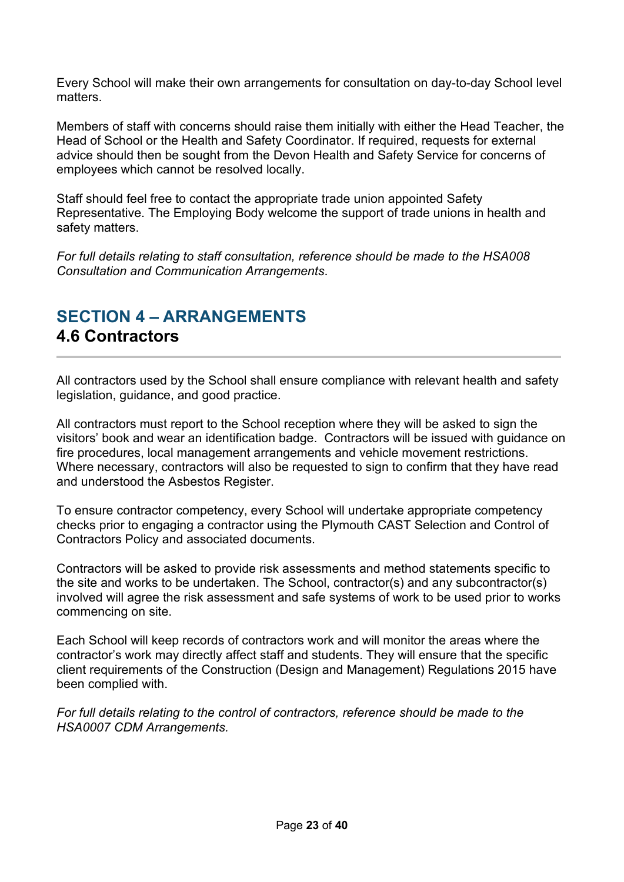Every School will make their own arrangements for consultation on day-to-day School level matters.

Members of staff with concerns should raise them initially with either the Head Teacher, the Head of School or the Health and Safety Coordinator. If required, requests for external advice should then be sought from the Devon Health and Safety Service for concerns of employees which cannot be resolved locally.

Staff should feel free to contact the appropriate trade union appointed Safety Representative. The Employing Body welcome the support of trade unions in health and safety matters.

*For full details relating to staff consultation, reference should be made to the HSA008 Consultation and Communication Arrangements*.

## <span id="page-22-0"></span>**SECTION 4 – ARRANGEMENTS 4.6 Contractors**

All contractors used by the School shall ensure compliance with relevant health and safety legislation, guidance, and good practice.

All contractors must report to the School reception where they will be asked to sign the visitors' book and wear an identification badge. Contractors will be issued with guidance on fire procedures, local management arrangements and vehicle movement restrictions. Where necessary, contractors will also be requested to sign to confirm that they have read and understood the Asbestos Register.

To ensure contractor competency, every School will undertake appropriate competency checks prior to engaging a contractor using the Plymouth CAST Selection and Control of Contractors Policy and associated documents.

Contractors will be asked to provide risk assessments and method statements specific to the site and works to be undertaken. The School, contractor(s) and any subcontractor(s) involved will agree the risk assessment and safe systems of work to be used prior to works commencing on site.

Each School will keep records of contractors work and will monitor the areas where the contractor's work may directly affect staff and students. They will ensure that the specific client requirements of the Construction (Design and Management) Regulations 2015 have been complied with.

*For full details relating to the control of contractors, reference should be made to the HSA0007 CDM Arrangements.*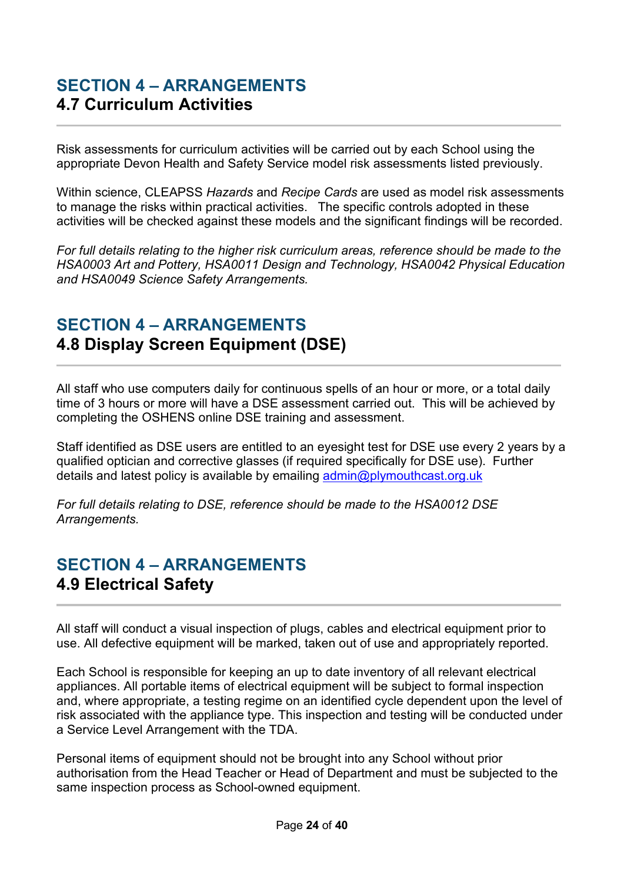#### <span id="page-23-0"></span>**SECTION 4 – ARRANGEMENTS 4.7 Curriculum Activities**

Risk assessments for curriculum activities will be carried out by each School using the appropriate Devon Health and Safety Service model risk assessments listed previously.

Within science, CLEAPSS *Hazards* and *Recipe Cards* are used as model risk assessments to manage the risks within practical activities. The specific controls adopted in these activities will be checked against these models and the significant findings will be recorded.

*For full details relating to the higher risk curriculum areas, reference should be made to the HSA0003 Art and Pottery, HSA0011 Design and Technology, HSA0042 Physical Education and HSA0049 Science Safety Arrangements.* 

## <span id="page-23-1"></span>**SECTION 4 – ARRANGEMENTS 4.8 Display Screen Equipment (DSE)**

All staff who use computers daily for continuous spells of an hour or more, or a total daily time of 3 hours or more will have a DSE assessment carried out. This will be achieved by completing the OSHENS online DSE training and assessment.

Staff identified as DSE users are entitled to an eyesight test for DSE use every 2 years by a qualified optician and corrective glasses (if required specifically for DSE use). Further details and latest policy is available by emailing [admin@plymouthcast.org.uk](mailto:admin@plymouthcast.org.uk)

*For full details relating to DSE, reference should be made to the HSA0012 DSE Arrangements.*

## <span id="page-23-2"></span>**SECTION 4 – ARRANGEMENTS 4.9 Electrical Safety**

All staff will conduct a visual inspection of plugs, cables and electrical equipment prior to use. All defective equipment will be marked, taken out of use and appropriately reported.

Each School is responsible for keeping an up to date inventory of all relevant electrical appliances. All portable items of electrical equipment will be subject to formal inspection and, where appropriate, a testing regime on an identified cycle dependent upon the level of risk associated with the appliance type. This inspection and testing will be conducted under a Service Level Arrangement with the TDA.

Personal items of equipment should not be brought into any School without prior authorisation from the Head Teacher or Head of Department and must be subjected to the same inspection process as School-owned equipment.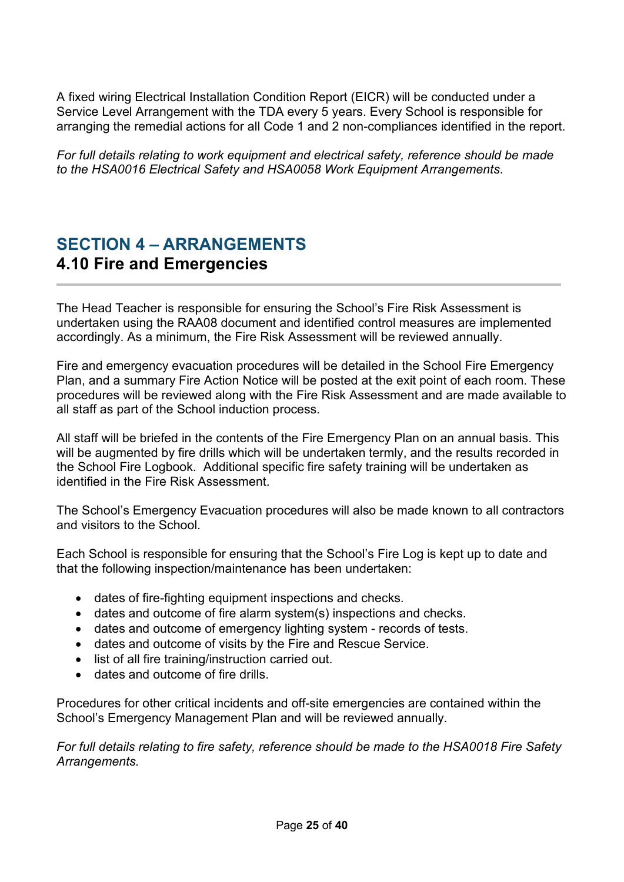A fixed wiring Electrical Installation Condition Report (EICR) will be conducted under a Service Level Arrangement with the TDA every 5 years. Every School is responsible for arranging the remedial actions for all Code 1 and 2 non-compliances identified in the report.

*For full details relating to work equipment and electrical safety, reference should be made to the HSA0016 Electrical Safety and HSA0058 Work Equipment Arrangements*.

## <span id="page-24-0"></span>**SECTION 4 – ARRANGEMENTS 4.10 Fire and Emergencies**

The Head Teacher is responsible for ensuring the School's Fire Risk Assessment is undertaken using the RAA08 document and identified control measures are implemented accordingly. As a minimum, the Fire Risk Assessment will be reviewed annually.

Fire and emergency evacuation procedures will be detailed in the School Fire Emergency Plan, and a summary Fire Action Notice will be posted at the exit point of each room. These procedures will be reviewed along with the Fire Risk Assessment and are made available to all staff as part of the School induction process.

All staff will be briefed in the contents of the Fire Emergency Plan on an annual basis. This will be augmented by fire drills which will be undertaken termly, and the results recorded in the School Fire Logbook. Additional specific fire safety training will be undertaken as identified in the Fire Risk Assessment.

The School's Emergency Evacuation procedures will also be made known to all contractors and visitors to the School.

Each School is responsible for ensuring that the School's Fire Log is kept up to date and that the following inspection/maintenance has been undertaken:

- dates of fire-fighting equipment inspections and checks.
- dates and outcome of fire alarm system(s) inspections and checks.
- dates and outcome of emergency lighting system records of tests.
- dates and outcome of visits by the Fire and Rescue Service.
- list of all fire training/instruction carried out.
- dates and outcome of fire drills.

Procedures for other critical incidents and off-site emergencies are contained within the School's Emergency Management Plan and will be reviewed annually.

*For full details relating to fire safety, reference should be made to the HSA0018 Fire Safety Arrangements.*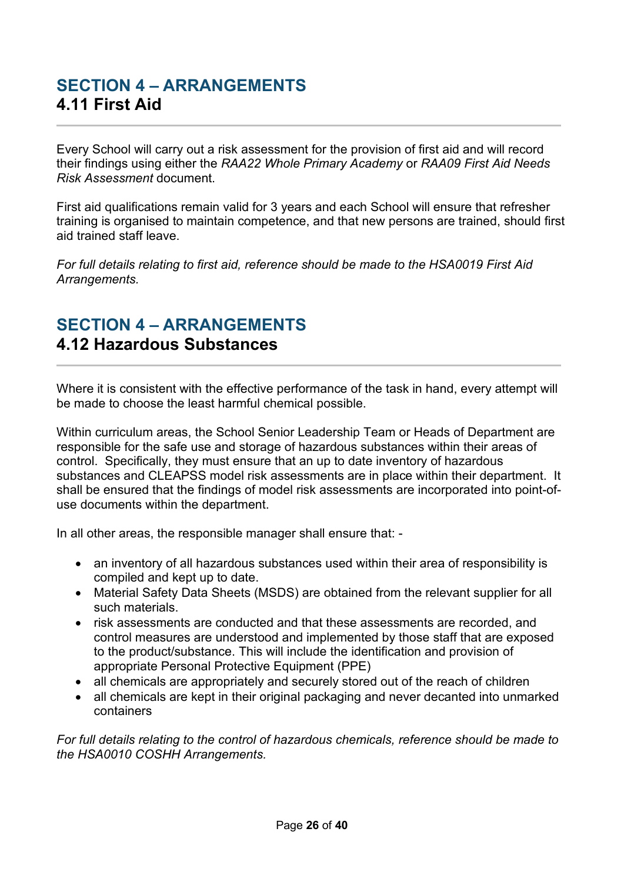# <span id="page-25-0"></span>**SECTION 4 – ARRANGEMENTS 4.11 First Aid**

Every School will carry out a risk assessment for the provision of first aid and will record their findings using either the *RAA22 Whole Primary Academy* or *RAA09 First Aid Needs Risk Assessment* document.

First aid qualifications remain valid for 3 years and each School will ensure that refresher training is organised to maintain competence, and that new persons are trained, should first aid trained staff leave.

*For full details relating to first aid, reference should be made to the HSA0019 First Aid Arrangements.*

#### <span id="page-25-1"></span>**SECTION 4 – ARRANGEMENTS 4.12 Hazardous Substances**

Where it is consistent with the effective performance of the task in hand, every attempt will be made to choose the least harmful chemical possible.

Within curriculum areas, the School Senior Leadership Team or Heads of Department are responsible for the safe use and storage of hazardous substances within their areas of control. Specifically, they must ensure that an up to date inventory of hazardous substances and CLEAPSS model risk assessments are in place within their department. It shall be ensured that the findings of model risk assessments are incorporated into point-ofuse documents within the department.

In all other areas, the responsible manager shall ensure that: -

- an inventory of all hazardous substances used within their area of responsibility is compiled and kept up to date.
- Material Safety Data Sheets (MSDS) are obtained from the relevant supplier for all such materials.
- risk assessments are conducted and that these assessments are recorded, and control measures are understood and implemented by those staff that are exposed to the product/substance. This will include the identification and provision of appropriate Personal Protective Equipment (PPE)
- all chemicals are appropriately and securely stored out of the reach of children
- all chemicals are kept in their original packaging and never decanted into unmarked containers

*For full details relating to the control of hazardous chemicals, reference should be made to the HSA0010 COSHH Arrangements.*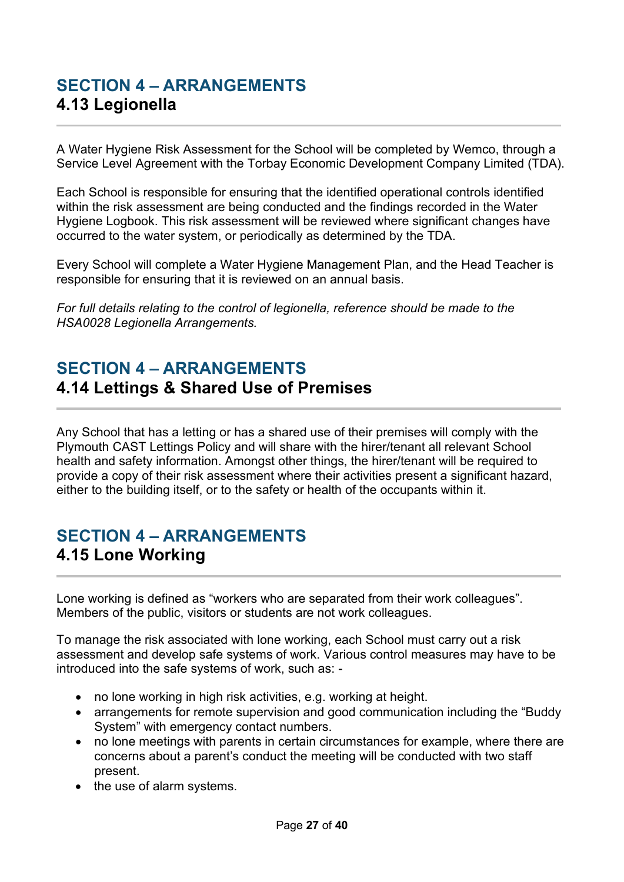## <span id="page-26-0"></span>**SECTION 4 – ARRANGEMENTS 4.13 Legionella**

A Water Hygiene Risk Assessment for the School will be completed by Wemco, through a Service Level Agreement with the Torbay Economic Development Company Limited (TDA).

Each School is responsible for ensuring that the identified operational controls identified within the risk assessment are being conducted and the findings recorded in the Water Hygiene Logbook. This risk assessment will be reviewed where significant changes have occurred to the water system, or periodically as determined by the TDA.

Every School will complete a Water Hygiene Management Plan, and the Head Teacher is responsible for ensuring that it is reviewed on an annual basis.

*For full details relating to the control of legionella, reference should be made to the HSA0028 Legionella Arrangements.*

#### <span id="page-26-1"></span>**SECTION 4 – ARRANGEMENTS 4.14 Lettings & Shared Use of Premises**

Any School that has a letting or has a shared use of their premises will comply with the Plymouth CAST Lettings Policy and will share with the hirer/tenant all relevant School health and safety information. Amongst other things, the hirer/tenant will be required to provide a copy of their risk assessment where their activities present a significant hazard, either to the building itself, or to the safety or health of the occupants within it.

## <span id="page-26-2"></span>**SECTION 4 – ARRANGEMENTS 4.15 Lone Working**

Lone working is defined as "workers who are separated from their work colleagues". Members of the public, visitors or students are not work colleagues.

To manage the risk associated with lone working, each School must carry out a risk assessment and develop safe systems of work. Various control measures may have to be introduced into the safe systems of work, such as: -

- no lone working in high risk activities, e.g. working at height.
- arrangements for remote supervision and good communication including the "Buddy System" with emergency contact numbers.
- no lone meetings with parents in certain circumstances for example, where there are concerns about a parent's conduct the meeting will be conducted with two staff present.
- the use of alarm systems.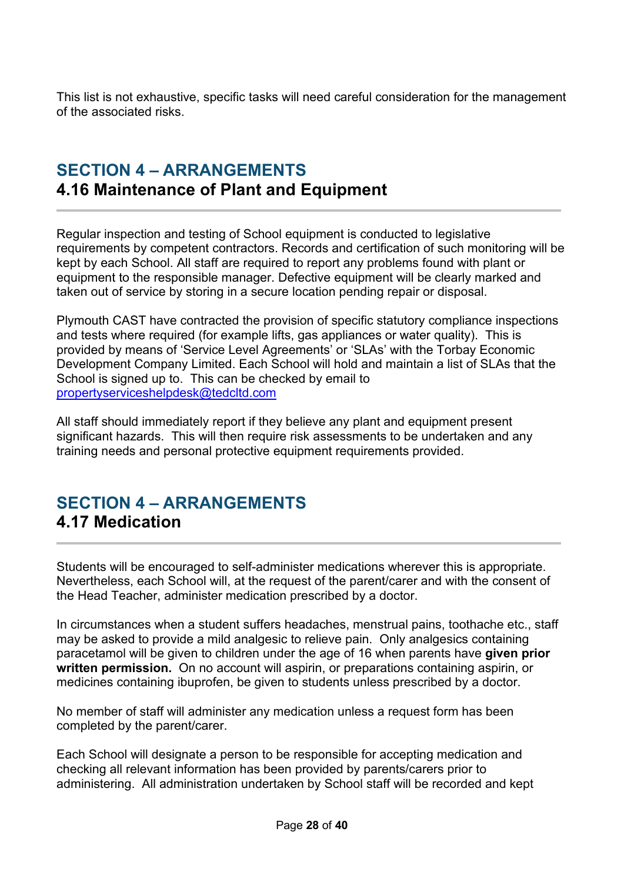This list is not exhaustive, specific tasks will need careful consideration for the management of the associated risks.

## <span id="page-27-0"></span>**SECTION 4 – ARRANGEMENTS 4.16 Maintenance of Plant and Equipment**

Regular inspection and testing of School equipment is conducted to legislative requirements by competent contractors. Records and certification of such monitoring will be kept by each School. All staff are required to report any problems found with plant or equipment to the responsible manager. Defective equipment will be clearly marked and taken out of service by storing in a secure location pending repair or disposal.

Plymouth CAST have contracted the provision of specific statutory compliance inspections and tests where required (for example lifts, gas appliances or water quality). This is provided by means of 'Service Level Agreements' or 'SLAs' with the Torbay Economic Development Company Limited. Each School will hold and maintain a list of SLAs that the School is signed up to. This can be checked by email to [propertyserviceshelpdesk@tedcltd.com](mailto:propertyserviceshelpdesk@tedcltd.com)

All staff should immediately report if they believe any plant and equipment present significant hazards. This will then require risk assessments to be undertaken and any training needs and personal protective equipment requirements provided.

#### <span id="page-27-1"></span>**SECTION 4 – ARRANGEMENTS 4.17 Medication**

Students will be encouraged to self-administer medications wherever this is appropriate. Nevertheless, each School will, at the request of the parent/carer and with the consent of the Head Teacher, administer medication prescribed by a doctor.

In circumstances when a student suffers headaches, menstrual pains, toothache etc., staff may be asked to provide a mild analgesic to relieve pain. Only analgesics containing paracetamol will be given to children under the age of 16 when parents have **given prior written permission.** On no account will aspirin, or preparations containing aspirin, or medicines containing ibuprofen, be given to students unless prescribed by a doctor.

No member of staff will administer any medication unless a request form has been completed by the parent/carer.

Each School will designate a person to be responsible for accepting medication and checking all relevant information has been provided by parents/carers prior to administering. All administration undertaken by School staff will be recorded and kept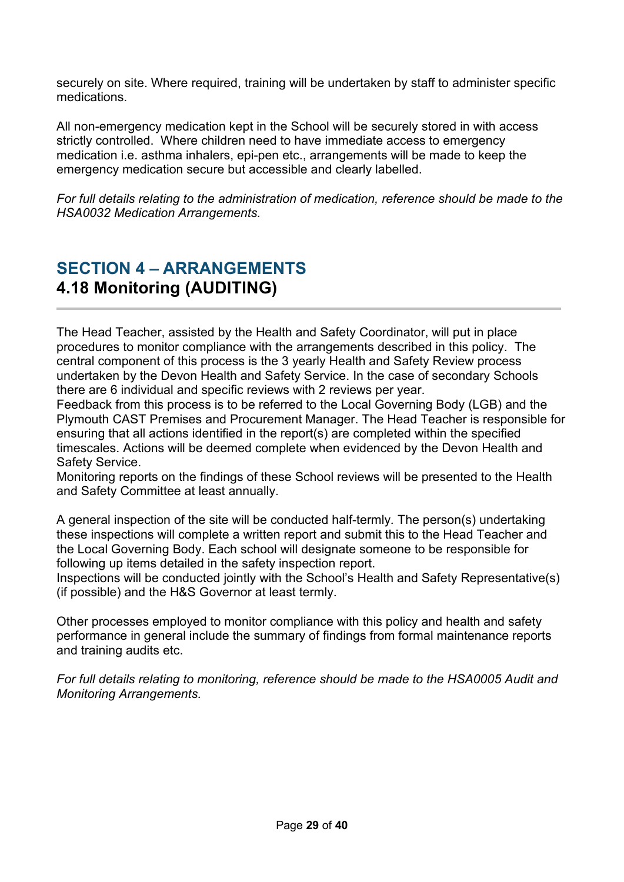securely on site. Where required, training will be undertaken by staff to administer specific medications.

All non-emergency medication kept in the School will be securely stored in with access strictly controlled. Where children need to have immediate access to emergency medication i.e. asthma inhalers, epi-pen etc., arrangements will be made to keep the emergency medication secure but accessible and clearly labelled.

*For full details relating to the administration of medication, reference should be made to the HSA0032 Medication Arrangements.*

# <span id="page-28-0"></span>**SECTION 4 – ARRANGEMENTS 4.18 Monitoring (AUDITING)**

The Head Teacher, assisted by the Health and Safety Coordinator, will put in place procedures to monitor compliance with the arrangements described in this policy. The central component of this process is the 3 yearly Health and Safety Review process undertaken by the Devon Health and Safety Service. In the case of secondary Schools there are 6 individual and specific reviews with 2 reviews per year.

Feedback from this process is to be referred to the Local Governing Body (LGB) and the Plymouth CAST Premises and Procurement Manager. The Head Teacher is responsible for ensuring that all actions identified in the report(s) are completed within the specified timescales. Actions will be deemed complete when evidenced by the Devon Health and Safety Service.

Monitoring reports on the findings of these School reviews will be presented to the Health and Safety Committee at least annually.

A general inspection of the site will be conducted half-termly*.* The person(s) undertaking these inspections will complete a written report and submit this to the Head Teacher and the Local Governing Body. Each school will designate someone to be responsible for following up items detailed in the safety inspection report.

Inspections will be conducted jointly with the School's Health and Safety Representative(s) (if possible) and the H&S Governor at least termly.

Other processes employed to monitor compliance with this policy and health and safety performance in general include the summary of findings from formal maintenance reports and training audits etc.

*For full details relating to monitoring, reference should be made to the HSA0005 Audit and Monitoring Arrangements.*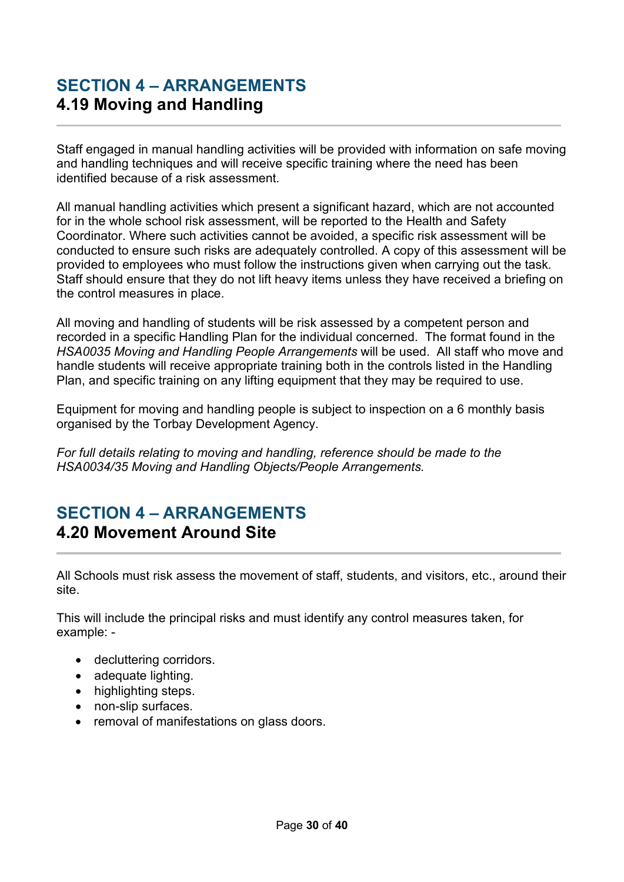## <span id="page-29-0"></span>**SECTION 4 – ARRANGEMENTS 4.19 Moving and Handling**

Staff engaged in manual handling activities will be provided with information on safe moving and handling techniques and will receive specific training where the need has been identified because of a risk assessment.

All manual handling activities which present a significant hazard, which are not accounted for in the whole school risk assessment, will be reported to the Health and Safety Coordinator. Where such activities cannot be avoided, a specific risk assessment will be conducted to ensure such risks are adequately controlled. A copy of this assessment will be provided to employees who must follow the instructions given when carrying out the task. Staff should ensure that they do not lift heavy items unless they have received a briefing on the control measures in place.

All moving and handling of students will be risk assessed by a competent person and recorded in a specific Handling Plan for the individual concerned. The format found in the *HSA0035 Moving and Handling People Arrangements* will be used. All staff who move and handle students will receive appropriate training both in the controls listed in the Handling Plan, and specific training on any lifting equipment that they may be required to use.

Equipment for moving and handling people is subject to inspection on a 6 monthly basis organised by the Torbay Development Agency.

*For full details relating to moving and handling, reference should be made to the HSA0034/35 Moving and Handling Objects/People Arrangements.* 

#### <span id="page-29-1"></span>**SECTION 4 – ARRANGEMENTS 4.20 Movement Around Site**

All Schools must risk assess the movement of staff, students, and visitors, etc., around their site.

This will include the principal risks and must identify any control measures taken, for example: -

- decluttering corridors.
- adequate lighting.
- highlighting steps.
- non-slip surfaces.
- removal of manifestations on glass doors.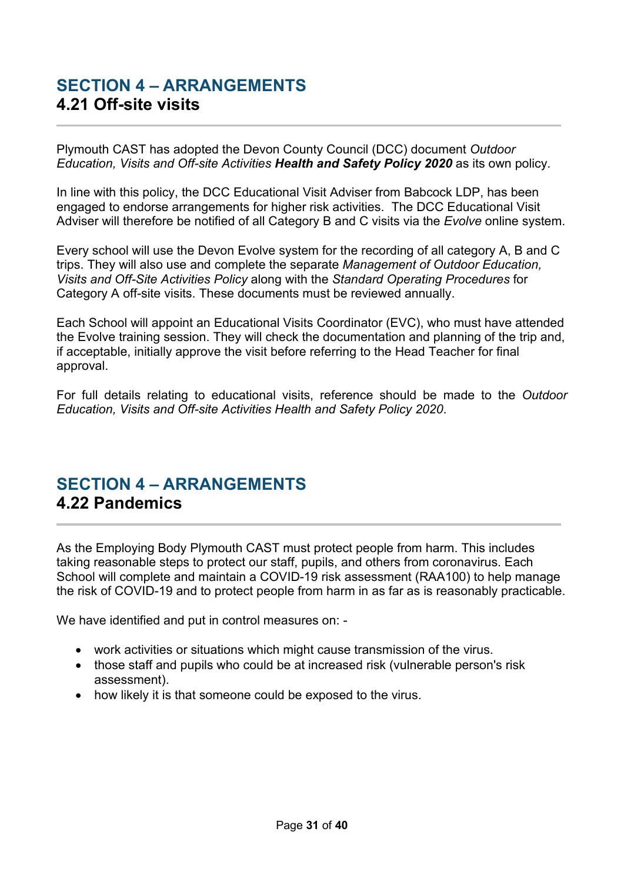## <span id="page-30-0"></span>**SECTION 4 – ARRANGEMENTS 4.21 Off-site visits**

Plymouth CAST has adopted the Devon County Council (DCC) document *Outdoor Education, Visits and Off-site Activities Health and Safety Policy 2020* as its own policy.

In line with this policy, the DCC Educational Visit Adviser from Babcock LDP, has been engaged to endorse arrangements for higher risk activities. The DCC Educational Visit Adviser will therefore be notified of all Category B and C visits via the *Evolve* online system.

Every school will use the Devon Evolve system for the recording of all category A, B and C trips. They will also use and complete the separate *Management of Outdoor Education, Visits and Off-Site Activities Policy* along with the *Standard Operating Procedures* for Category A off-site visits. These documents must be reviewed annually.

Each School will appoint an Educational Visits Coordinator (EVC), who must have attended the Evolve training session. They will check the documentation and planning of the trip and, if acceptable, initially approve the visit before referring to the Head Teacher for final approval.

For full details relating to educational visits, reference should be made to the *Outdoor Education, Visits and Off-site Activities Health and Safety Policy 2020*.

#### <span id="page-30-1"></span>**SECTION 4 – ARRANGEMENTS 4.22 Pandemics**

As the Employing Body Plymouth CAST must protect people from harm. This includes taking reasonable steps to protect our staff, pupils, and others from coronavirus. Each School will complete and maintain a COVID-19 risk assessment (RAA100) to help manage the risk of COVID-19 and to protect people from harm in as far as is reasonably practicable.

We have identified and put in control measures on: -

- work activities or situations which might cause transmission of the virus.
- those staff and pupils who could be at increased risk (vulnerable person's risk assessment).
- how likely it is that someone could be exposed to the virus.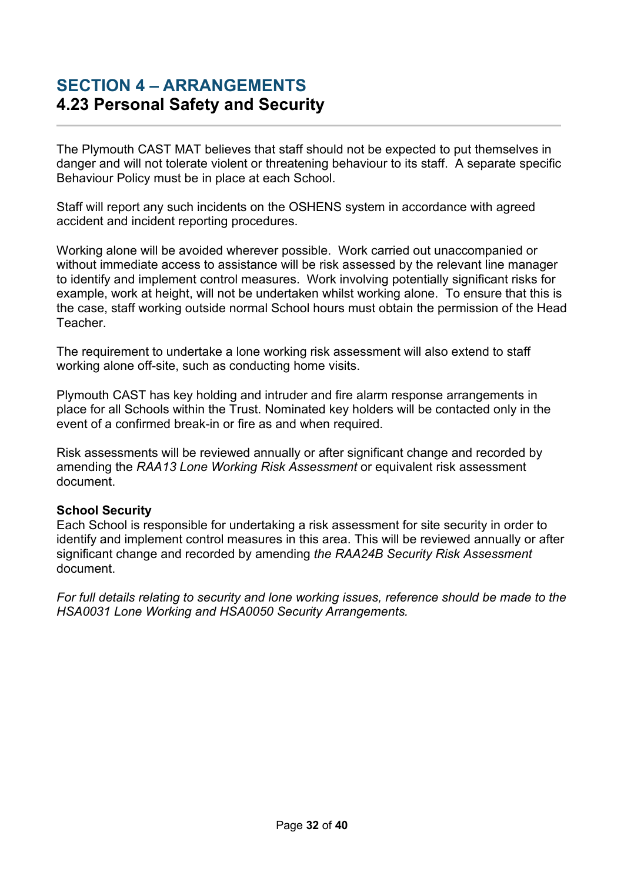#### <span id="page-31-0"></span>**SECTION 4 – ARRANGEMENTS 4.23 Personal Safety and Security**

The Plymouth CAST MAT believes that staff should not be expected to put themselves in danger and will not tolerate violent or threatening behaviour to its staff. A separate specific Behaviour Policy must be in place at each School.

Staff will report any such incidents on the OSHENS system in accordance with agreed accident and incident reporting procedures.

Working alone will be avoided wherever possible. Work carried out unaccompanied or without immediate access to assistance will be risk assessed by the relevant line manager to identify and implement control measures. Work involving potentially significant risks for example, work at height, will not be undertaken whilst working alone. To ensure that this is the case, staff working outside normal School hours must obtain the permission of the Head Teacher.

The requirement to undertake a lone working risk assessment will also extend to staff working alone off-site, such as conducting home visits.

Plymouth CAST has key holding and intruder and fire alarm response arrangements in place for all Schools within the Trust. Nominated key holders will be contacted only in the event of a confirmed break-in or fire as and when required.

Risk assessments will be reviewed annually or after significant change and recorded by amending the *RAA13 Lone Working Risk Assessment* or equivalent risk assessment document.

#### **School Security**

Each School is responsible for undertaking a risk assessment for site security in order to identify and implement control measures in this area. This will be reviewed annually or after significant change and recorded by amending *the RAA24B Security Risk Assessment* document.

*For full details relating to security and lone working issues, reference should be made to the HSA0031 Lone Working and HSA0050 Security Arrangements.*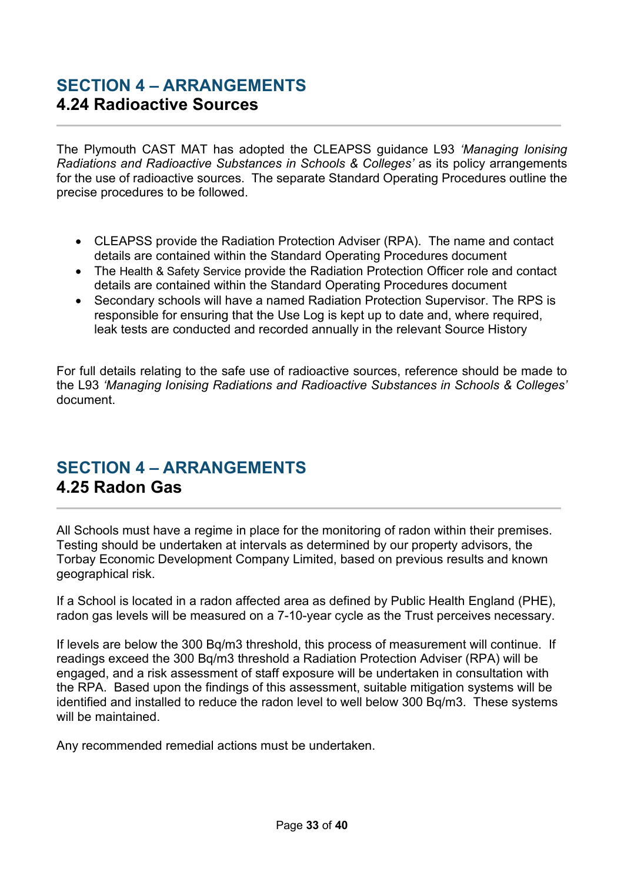#### <span id="page-32-0"></span>**SECTION 4 – ARRANGEMENTS 4.24 Radioactive Sources**

The Plymouth CAST MAT has adopted the CLEAPSS guidance L93 *'Managing Ionising Radiations and Radioactive Substances in Schools & Colleges'* as its policy arrangements for the use of radioactive sources. The separate Standard Operating Procedures outline the precise procedures to be followed.

- CLEAPSS provide the Radiation Protection Adviser (RPA). The name and contact details are contained within the Standard Operating Procedures document
- The Health & Safety Service provide the Radiation Protection Officer role and contact details are contained within the Standard Operating Procedures document
- Secondary schools will have a named Radiation Protection Supervisor. The RPS is responsible for ensuring that the Use Log is kept up to date and, where required, leak tests are conducted and recorded annually in the relevant Source History

For full details relating to the safe use of radioactive sources, reference should be made to the L93 *'Managing Ionising Radiations and Radioactive Substances in Schools & Colleges'*  document.

# <span id="page-32-1"></span>**SECTION 4 – ARRANGEMENTS 4.25 Radon Gas**

All Schools must have a regime in place for the monitoring of radon within their premises. Testing should be undertaken at intervals as determined by our property advisors, the Torbay Economic Development Company Limited, based on previous results and known geographical risk.

If a School is located in a radon affected area as defined by Public Health England (PHE), radon gas levels will be measured on a 7-10-year cycle as the Trust perceives necessary.

If levels are below the 300 Bq/m3 threshold, this process of measurement will continue. If readings exceed the 300 Bq/m3 threshold a Radiation Protection Adviser (RPA) will be engaged, and a risk assessment of staff exposure will be undertaken in consultation with the RPA. Based upon the findings of this assessment, suitable mitigation systems will be identified and installed to reduce the radon level to well below 300 Bq/m3. These systems will be maintained.

Any recommended remedial actions must be undertaken.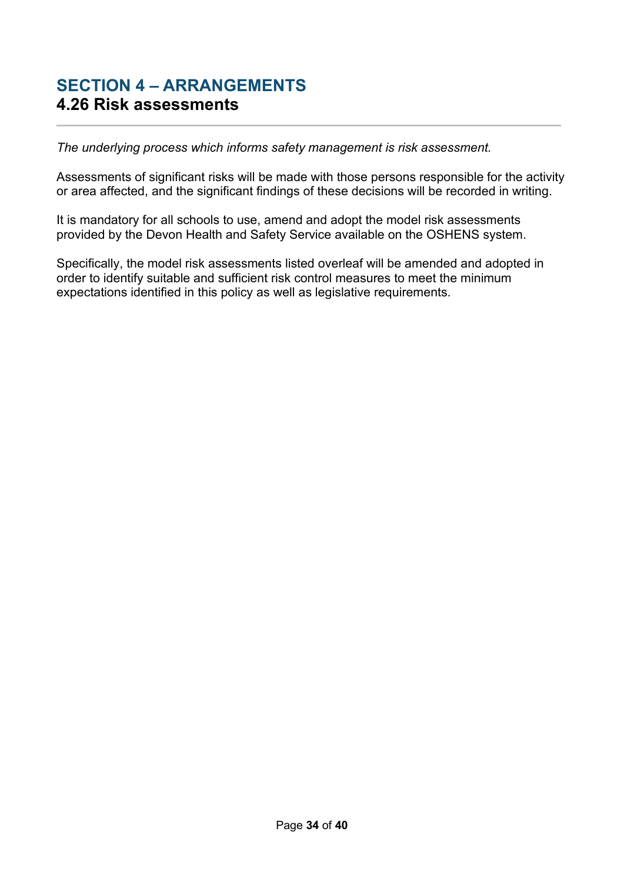#### <span id="page-33-0"></span>**SECTION 4 – ARRANGEMENTS 4.26 Risk assessments**

*The underlying process which informs safety management is risk assessment.*

Assessments of significant risks will be made with those persons responsible for the activity or area affected, and the significant findings of these decisions will be recorded in writing.

It is mandatory for all schools to use, amend and adopt the model risk assessments provided by the Devon Health and Safety Service available on the OSHENS system.

Specifically, the model risk assessments listed overleaf will be amended and adopted in order to identify suitable and sufficient risk control measures to meet the minimum expectations identified in this policy as well as legislative requirements.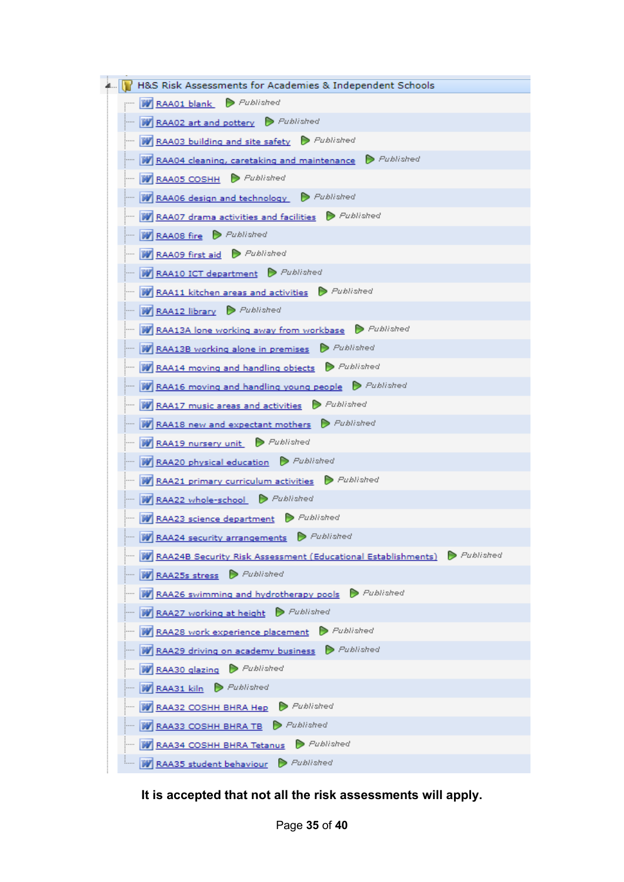

**It is accepted that not all the risk assessments will apply.**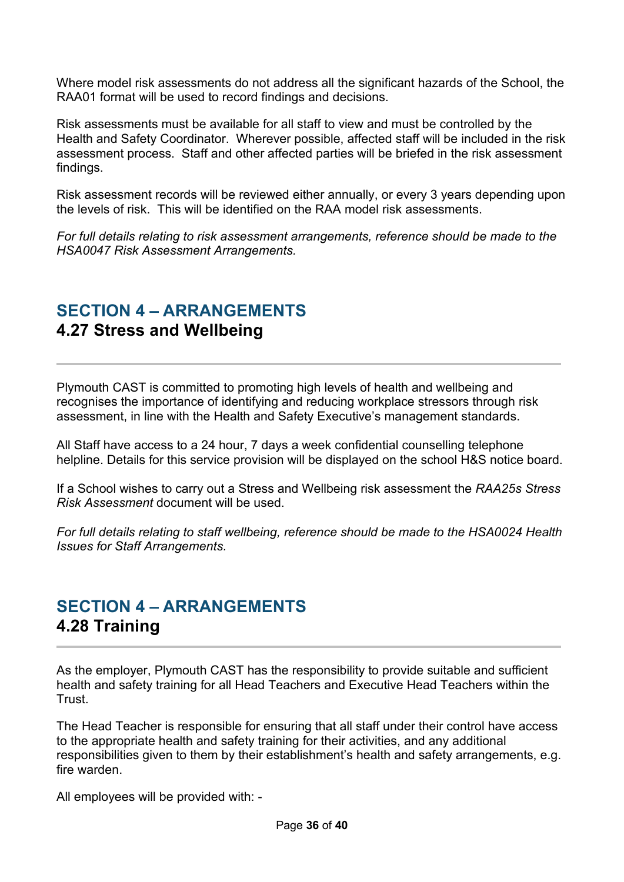Where model risk assessments do not address all the significant hazards of the School, the RAA01 format will be used to record findings and decisions.

Risk assessments must be available for all staff to view and must be controlled by the Health and Safety Coordinator. Wherever possible, affected staff will be included in the risk assessment process. Staff and other affected parties will be briefed in the risk assessment findings.

Risk assessment records will be reviewed either annually, or every 3 years depending upon the levels of risk. This will be identified on the RAA model risk assessments.

*For full details relating to risk assessment arrangements, reference should be made to the HSA0047 Risk Assessment Arrangements.*

# <span id="page-35-0"></span>**SECTION 4 – ARRANGEMENTS 4.27 Stress and Wellbeing**

Plymouth CAST is committed to promoting high levels of health and wellbeing and recognises the importance of identifying and reducing workplace stressors through risk assessment, in line with the Health and Safety Executive's management standards.

All Staff have access to a 24 hour, 7 days a week confidential counselling telephone helpline. Details for this service provision will be displayed on the school H&S notice board.

If a School wishes to carry out a Stress and Wellbeing risk assessment the *RAA25s Stress Risk Assessment* document will be used.

*For full details relating to staff wellbeing, reference should be made to the HSA0024 Health Issues for Staff Arrangements.* 

#### <span id="page-35-1"></span>**SECTION 4 – ARRANGEMENTS 4.28 Training**

As the employer, Plymouth CAST has the responsibility to provide suitable and sufficient health and safety training for all Head Teachers and Executive Head Teachers within the **Trust** 

The Head Teacher is responsible for ensuring that all staff under their control have access to the appropriate health and safety training for their activities, and any additional responsibilities given to them by their establishment's health and safety arrangements, e.g. fire warden.

All employees will be provided with: -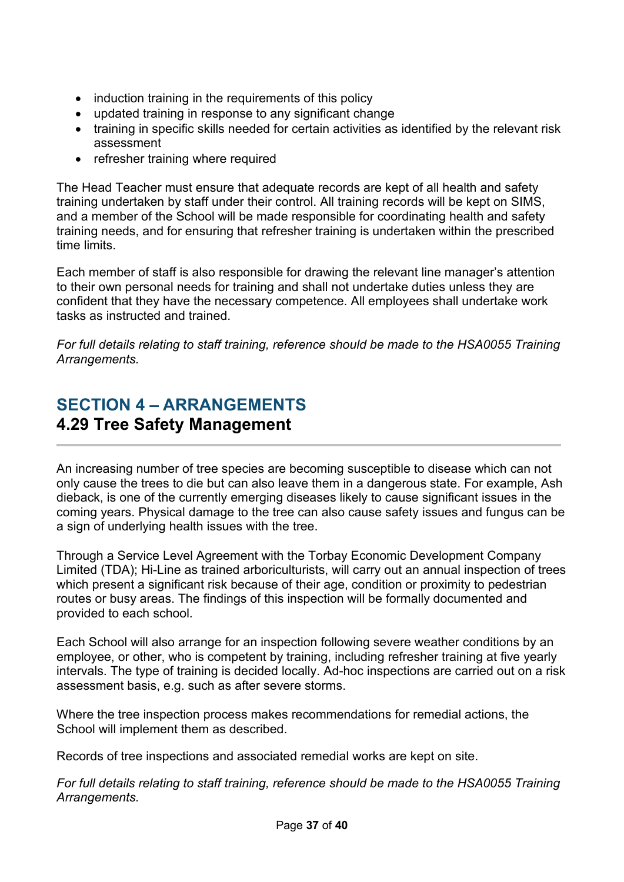- induction training in the requirements of this policy
- updated training in response to any significant change
- training in specific skills needed for certain activities as identified by the relevant risk assessment
- refresher training where required

The Head Teacher must ensure that adequate records are kept of all health and safety training undertaken by staff under their control. All training records will be kept on SIMS, and a member of the School will be made responsible for coordinating health and safety training needs, and for ensuring that refresher training is undertaken within the prescribed time limits.

Each member of staff is also responsible for drawing the relevant line manager's attention to their own personal needs for training and shall not undertake duties unless they are confident that they have the necessary competence. All employees shall undertake work tasks as instructed and trained.

*For full details relating to staff training, reference should be made to the HSA0055 Training Arrangements.*

## <span id="page-36-0"></span>**SECTION 4 – ARRANGEMENTS 4.29 Tree Safety Management**

An increasing number of tree species are becoming susceptible to disease which can not only cause the trees to die but can also leave them in a dangerous state. For example, Ash dieback, is one of the currently emerging diseases likely to cause significant issues in the coming years. Physical damage to the tree can also cause safety issues and fungus can be a sign of underlying health issues with the tree.

Through a Service Level Agreement with the Torbay Economic Development Company Limited (TDA); Hi-Line as trained arboriculturists, will carry out an annual inspection of trees which present a significant risk because of their age, condition or proximity to pedestrian routes or busy areas. The findings of this inspection will be formally documented and provided to each school.

Each School will also arrange for an inspection following severe weather conditions by an employee, or other, who is competent by training, including refresher training at five yearly intervals. The type of training is decided locally. Ad-hoc inspections are carried out on a risk assessment basis, e.g. such as after severe storms.

Where the tree inspection process makes recommendations for remedial actions, the School will implement them as described.

Records of tree inspections and associated remedial works are kept on site.

*For full details relating to staff training, reference should be made to the HSA0055 Training Arrangements.*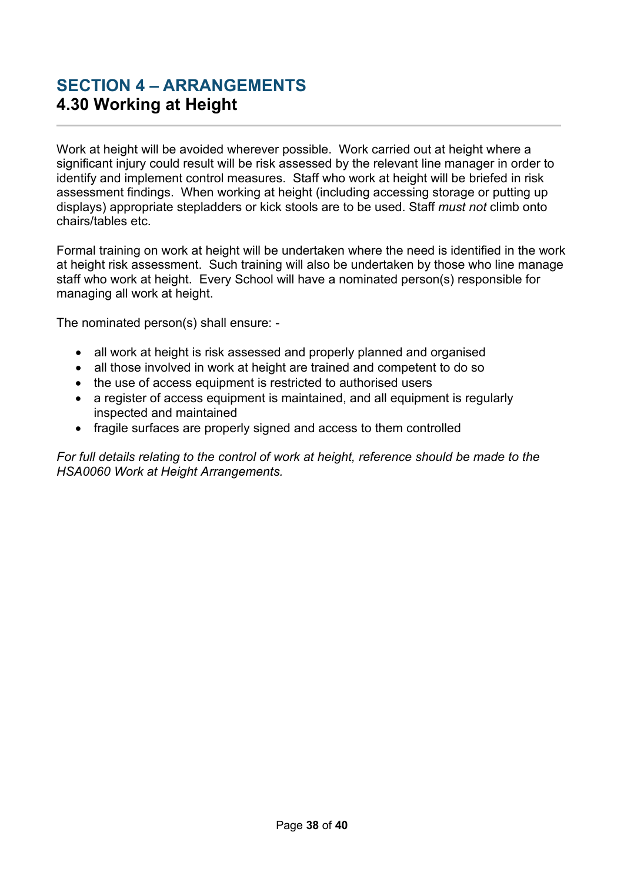## <span id="page-37-0"></span>**SECTION 4 – ARRANGEMENTS 4.30 Working at Height**

Work at height will be avoided wherever possible. Work carried out at height where a significant injury could result will be risk assessed by the relevant line manager in order to identify and implement control measures. Staff who work at height will be briefed in risk assessment findings. When working at height (including accessing storage or putting up displays) appropriate stepladders or kick stools are to be used. Staff *must not* climb onto chairs/tables etc.

Formal training on work at height will be undertaken where the need is identified in the work at height risk assessment. Such training will also be undertaken by those who line manage staff who work at height. Every School will have a nominated person(s) responsible for managing all work at height.

The nominated person(s) shall ensure: -

- all work at height is risk assessed and properly planned and organised
- all those involved in work at height are trained and competent to do so
- the use of access equipment is restricted to authorised users
- a register of access equipment is maintained, and all equipment is regularly inspected and maintained
- fragile surfaces are properly signed and access to them controlled

*For full details relating to the control of work at height, reference should be made to the HSA0060 Work at Height Arrangements.*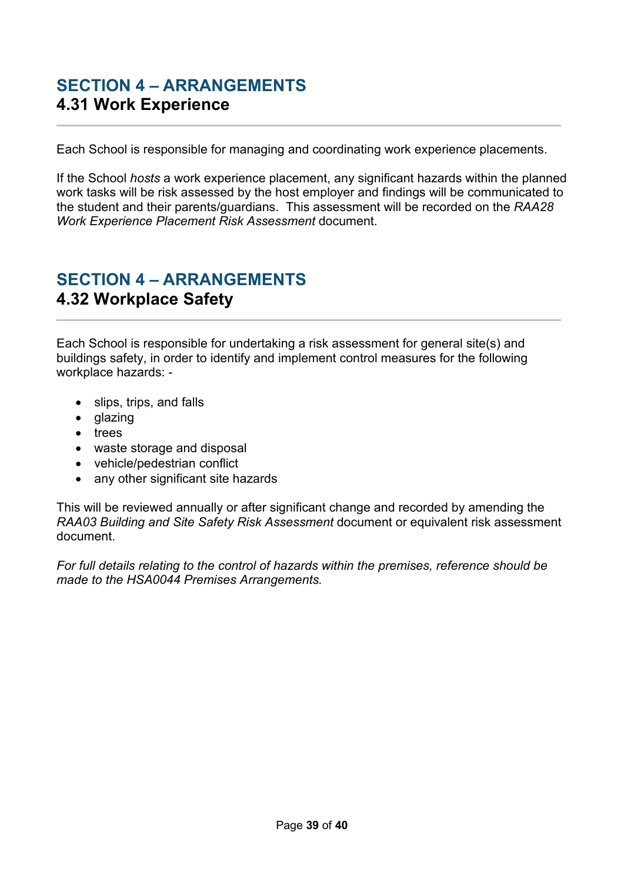#### <span id="page-38-0"></span>**SECTION 4 – ARRANGEMENTS 4.31 Work Experience**

Each School is responsible for managing and coordinating work experience placements.

If the School *hosts* a work experience placement, any significant hazards within the planned work tasks will be risk assessed by the host employer and findings will be communicated to the student and their parents/guardians. This assessment will be recorded on the *RAA28 Work Experience Placement Risk Assessment* document.

#### <span id="page-38-1"></span>**SECTION 4 – ARRANGEMENTS 4.32 Workplace Safety**

Each School is responsible for undertaking a risk assessment for general site(s) and buildings safety, in order to identify and implement control measures for the following workplace hazards: -

- slips, trips, and falls
- glazing
- trees
- waste storage and disposal
- vehicle/pedestrian conflict
- any other significant site hazards

This will be reviewed annually or after significant change and recorded by amending the *RAA03 Building and Site Safety Risk Assessment* document or equivalent risk assessment document.

*For full details relating to the control of hazards within the premises, reference should be made to the HSA0044 Premises Arrangements.*